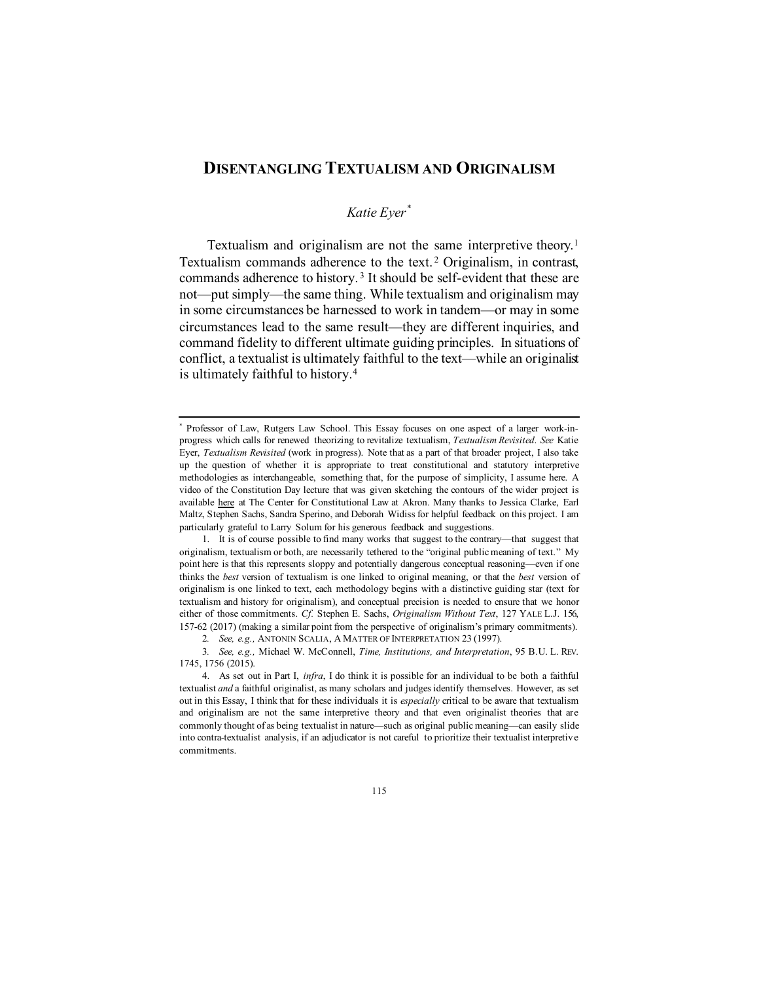# **DISENTANGLING TEXTUALISM AND ORIGINALISM**

# <span id="page-0-6"></span><span id="page-0-5"></span>*Katie Eyer[\\*](#page-0-0)*

Textualism and originalism are not the same interpretive theory.<sup>[1](#page-0-1)</sup> Textualism commands adherence to the text. [2](#page-0-2) Originalism, in contrast, commands adherence to history. [3](#page-0-3) It should be self-evident that these are not—put simply—the same thing. While textualism and originalism may in some circumstances be harnessed to work in tandem—or may in some circumstances lead to the same result—they are different inquiries, and command fidelity to different ultimate guiding principles. In situations of conflict, a textualist is ultimately faithful to the text—while an originalist is ultimately faithful to history.[4](#page-0-4)

<span id="page-0-0"></span>Professor of Law, Rutgers Law School. This Essay focuses on one aspect of a larger work-inprogress which calls for renewed theorizing to revitalize textualism, *Textualism Revisited*. *See* Katie Eyer, *Textualism Revisited* (work in progress). Note that as a part of that broader project, I also take up the question of whether it is appropriate to treat constitutional and statutory interpretive methodologies as interchangeable, something that, for the purpose of simplicity, I assume here. A video of the Constitution Day lecture that was given sketching the contours of the wider project is available [here](https://uazips-my.sharepoint.com/:v:/g/personal/thomast_uakron_edu/EWm-LpEjQ29BmPiac2T6LNIBE0U5dxfnchwGf_XEqDMy3w?e=YMKIdA) at The Center for Constitutional Law at Akron. Many thanks to Jessica Clarke, Earl Maltz, Stephen Sachs, Sandra Sperino, and Deborah Widiss for helpful feedback on this project. I am particularly grateful to Larry Solum for his generous feedback and suggestions.

<span id="page-0-1"></span><sup>1.</sup> It is of course possible to find many works that suggest to the contrary—that suggest that originalism, textualism or both, are necessarily tethered to the "original public meaning of text." My point here is that this represents sloppy and potentially dangerous conceptual reasoning—even if one thinks the *best* version of textualism is one linked to original meaning, or that the *best* version of originalism is one linked to text, each methodology begins with a distinctive guiding star (text for textualism and history for originalism), and conceptual precision is needed to ensure that we honor either of those commitments. *Cf.* Stephen E. Sachs, *Originalism Without Text*, 127 YALE L.J. 156, 157-62 (2017) (making a similar point from the perspective of originalism's primary commitments).

<sup>2</sup>*. See, e.g.,* ANTONIN SCALIA, A MATTER OF INTERPRETATION 23 (1997).

<span id="page-0-3"></span><span id="page-0-2"></span><sup>3</sup>*. See, e.g.,* Michael W. McConnell, *Time, Institutions, and Interpretation*, 95 B.U. L. REV. 1745, 1756 (2015).

<span id="page-0-4"></span><sup>4.</sup> As set out in Part I, *infra*, I do think it is possible for an individual to be both a faithful textualist *and* a faithful originalist, as many scholars and judges identify themselves. However, as set out in this Essay, I think that for these individuals it is *especially* critical to be aware that textualism and originalism are not the same interpretive theory and that even originalist theories that are commonly thought of as being textualist in nature—such as original public meaning—can easily slide into contra-textualist analysis, if an adjudicator is not careful to prioritize their textualist interpretive commitments.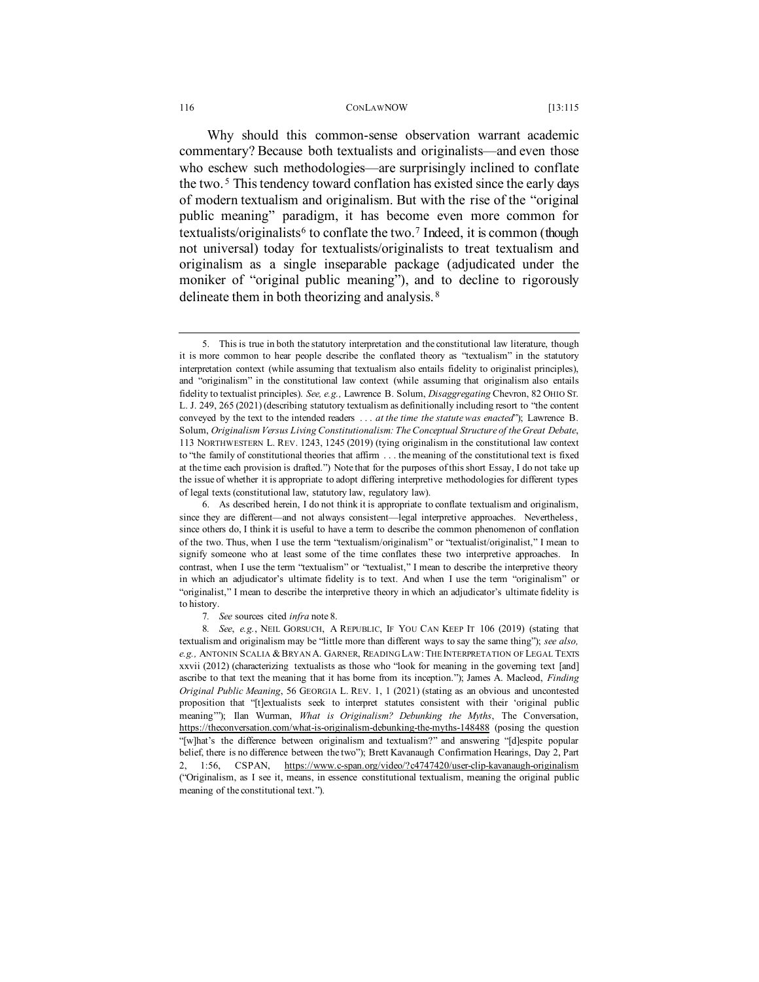#### 116 CONLAWNOW [13:115

<span id="page-1-5"></span>Why should this common-sense observation warrant academic commentary? Because both textualists and originalists—and even those who eschew such methodologies—are surprisingly inclined to conflate the two. [5](#page-1-1) This tendency toward conflation has existed since the early days of modern textualism and originalism. But with the rise of the "original public meaning" paradigm, it has become even more common for textualists/originalists<sup>[6](#page-1-2)</sup> to conflate the two.<sup>[7](#page-1-3)</sup> Indeed, it is common (though not universal) today for textualists/originalists to treat textualism and originalism as a single inseparable package (adjudicated under the moniker of "original public meaning"), and to decline to rigorously delineate them in both theorizing and analysis. [8](#page-1-4)

<span id="page-1-1"></span><span id="page-1-0"></span><sup>5.</sup> This is true in both the statutory interpretation and the constitutional law literature, though it is more common to hear people describe the conflated theory as "textualism" in the statutory interpretation context (while assuming that textualism also entails fidelity to originalist principles), and "originalism" in the constitutional law context (while assuming that originalism also entails fidelity to textualist principles). *See, e.g.,* Lawrence B. Solum, *Disaggregating* Chevron, 82 OHIO ST. L. J. 249, 265 (2021) (describing statutory textualism as definitionally including resort to "the content conveyed by the text to the intended readers . . . *at the time the statute was enacted*"); Lawrence B. Solum, *Originalism Versus Living Constitutionalism: The Conceptual Structure of the Great Debate*, 113 NORTHWESTERN L. REV. 1243, 1245 (2019) (tying originalism in the constitutional law context to "the family of constitutional theories that affirm . . . the meaning of the constitutional text is fixed at the time each provision is drafted.") Note that for the purposes of this short Essay, I do not take up the issue of whether it is appropriate to adopt differing interpretive methodologies for different types of legal texts (constitutional law, statutory law, regulatory law).

<span id="page-1-2"></span><sup>6.</sup> As described herein, I do not think it is appropriate to conflate textualism and originalism, since they are different—and not always consistent—legal interpretive approaches. Nevertheless, since others do, I think it is useful to have a term to describe the common phenomenon of conflation of the two. Thus, when I use the term "textualism/originalism" or "textualist/originalist," I mean to signify someone who at least some of the time conflates these two interpretive approaches. In contrast, when I use the term "textualism" or "textualist," I mean to describe the interpretive theory in which an adjudicator's ultimate fidelity is to text. And when I use the term "originalism" or "originalist," I mean to describe the interpretive theory in which an adjudicator's ultimate fidelity is to history.

<sup>7</sup>*. See* sources cited *infra* not[e 8.](#page-1-0)

<span id="page-1-4"></span><span id="page-1-3"></span><sup>8</sup>*. See*, *e.g.*, NEIL GORSUCH, A REPUBLIC, IF YOU CAN KEEP IT 106 (2019) (stating that textualism and originalism may be "little more than different ways to say the same thing"); *see also, e.g.,* ANTONIN SCALIA &BRYAN A. GARNER, READING LAW:THE INTERPRETATION OF LEGAL TEXTS xxvii (2012) (characterizing textualists as those who "look for meaning in the governing text [and] ascribe to that text the meaning that it has borne from its inception."); James A. Macleod, *Finding Original Public Meaning*, 56 GEORGIA L. REV. 1, 1 (2021) (stating as an obvious and uncontested proposition that "[t]extualists seek to interpret statutes consistent with their 'original public meaning'"); Ilan Wurman, *What is Originalism? Debunking the Myths*, The Conversation, <https://theconversation.com/what-is-originalism-debunking-the-myths-148488> (posing the question "[w]hat's the difference between originalism and textualism?" and answering "[d]espite popular belief, there is no difference between the two"); Brett Kavanaugh Confirmation Hearings, Day 2, Part 2, 1:56, CSPAN, <https://www.c-span.org/video/?c4747420/user-clip-kavanaugh-originalism> ("Originalism, as I see it, means, in essence constitutional textualism, meaning the original public meaning of the constitutional text.").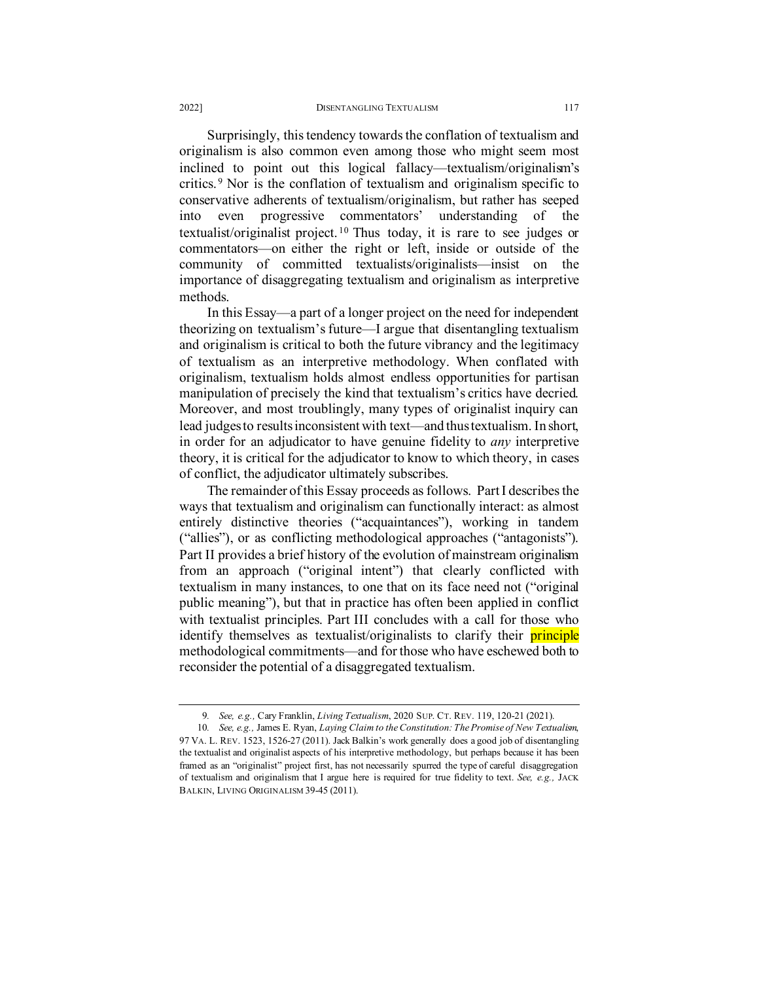## 2022] DISENTANGLING TEXTUALISM 117

<span id="page-2-2"></span>Surprisingly, this tendency towards the conflation of textualism and originalism is also common even among those who might seem most inclined to point out this logical fallacy—textualism/originalism's critics. [9](#page-2-0) Nor is the conflation of textualism and originalism specific to conservative adherents of textualism/originalism, but rather has seeped into even progressive commentators' understanding of the textualist/originalist project.<sup>[10](#page-2-1)</sup> Thus today, it is rare to see judges or commentators—on either the right or left, inside or outside of the community of committed textualists/originalists—insist on the importance of disaggregating textualism and originalism as interpretive methods.

In this Essay—a part of a longer project on the need for independent theorizing on textualism's future—I argue that disentangling textualism and originalism is critical to both the future vibrancy and the legitimacy of textualism as an interpretive methodology. When conflated with originalism, textualism holds almost endless opportunities for partisan manipulation of precisely the kind that textualism's critics have decried. Moreover, and most troublingly, many types of originalist inquiry can lead judges to results inconsistent with text—and thus textualism. In short, in order for an adjudicator to have genuine fidelity to *any* interpretive theory, it is critical for the adjudicator to know to which theory, in cases of conflict, the adjudicator ultimately subscribes.

The remainder of this Essay proceeds as follows. Part I describes the ways that textualism and originalism can functionally interact: as almost entirely distinctive theories ("acquaintances"), working in tandem ("allies"), or as conflicting methodological approaches ("antagonists"). Part II provides a brief history of the evolution of mainstream originalism from an approach ("original intent") that clearly conflicted with textualism in many instances, to one that on its face need not ("original public meaning"), but that in practice has often been applied in conflict with textualist principles. Part III concludes with a call for those who identify themselves as textualist/originalists to clarify their **principle** methodological commitments—and for those who have eschewed both to reconsider the potential of a disaggregated textualism.

<sup>9</sup>*. See, e.g.,* Cary Franklin, *Living Textualism*, 2020 SUP. CT. REV. 119, 120-21 (2021).

<span id="page-2-1"></span><span id="page-2-0"></span><sup>10</sup>*. See, e.g.,* James E. Ryan, *Laying Claim to the Constitution: The Promise of New Textualism*, 97 VA. L. REV. 1523, 1526-27 (2011). Jack Balkin's work generally does a good job of disentangling the textualist and originalist aspects of his interpretive methodology, but perhaps because it has been framed as an "originalist" project first, has not necessarily spurred the type of careful disaggregation of textualism and originalism that I argue here is required for true fidelity to text. *See, e.g.,* JACK BALKIN, LIVING ORIGINALISM 39-45 (2011).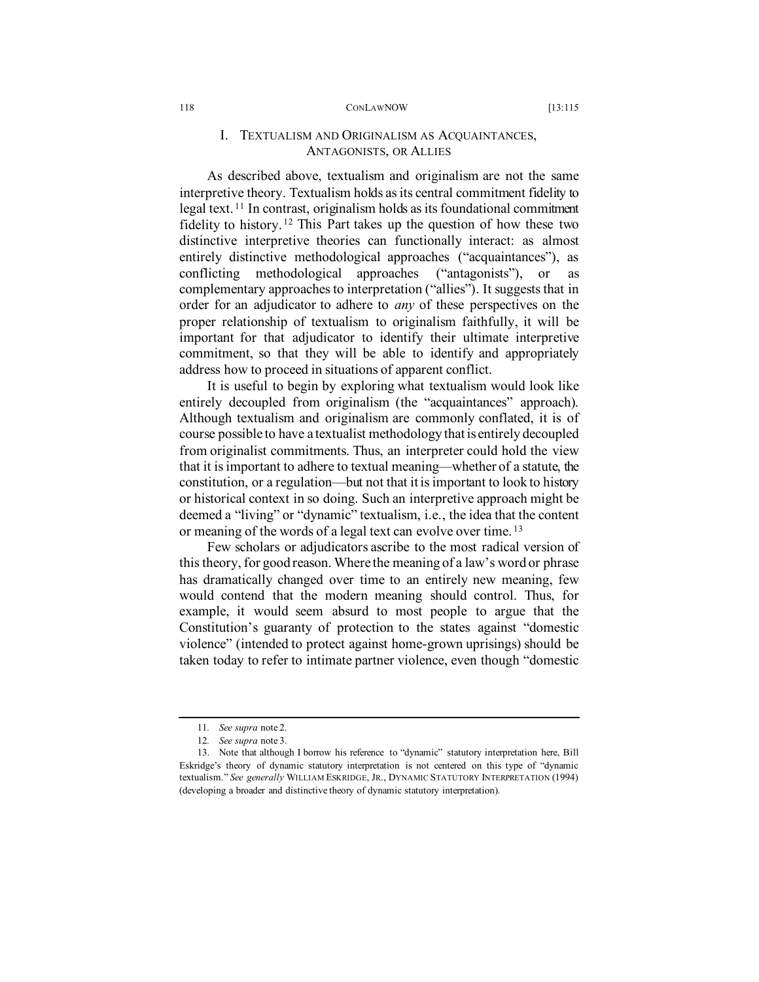As described above, textualism and originalism are not the same interpretive theory. Textualism holds as its central commitment fidelity to legal text. [11](#page-3-0) In contrast, originalism holds as its foundational commitment fidelity to history. [12](#page-3-1) This Part takes up the question of how these two distinctive interpretive theories can functionally interact: as almost entirely distinctive methodological approaches ("acquaintances"), as conflicting methodological approaches ("antagonists"), or as complementary approaches to interpretation ("allies"). It suggests that in order for an adjudicator to adhere to *any* of these perspectives on the proper relationship of textualism to originalism faithfully, it will be important for that adjudicator to identify their ultimate interpretive commitment, so that they will be able to identify and appropriately address how to proceed in situations of apparent conflict.

It is useful to begin by exploring what textualism would look like entirely decoupled from originalism (the "acquaintances" approach). Although textualism and originalism are commonly conflated, it is of course possible to have a textualist methodology that is entirely decoupled from originalist commitments. Thus, an interpreter could hold the view that it is important to adhere to textual meaning—whether of a statute, the constitution, or a regulation—but not that it is important to look to history or historical context in so doing. Such an interpretive approach might be deemed a "living" or "dynamic" textualism, i.e., the idea that the content or meaning of the words of a legal text can evolve over time. [13](#page-3-2)

Few scholars or adjudicators ascribe to the most radical version of this theory, for good reason. Where the meaning of a law's word or phrase has dramatically changed over time to an entirely new meaning, few would contend that the modern meaning should control. Thus, for example, it would seem absurd to most people to argue that the Constitution's guaranty of protection to the states against "domestic violence" (intended to protect against home-grown uprisings) should be taken today to refer to intimate partner violence, even though "domestic

<sup>11</sup>*. See supra* not[e 2.](#page-0-5)

<sup>12</sup>*. See supra* not[e 3.](#page-0-6)

<span id="page-3-2"></span><span id="page-3-1"></span><span id="page-3-0"></span><sup>13.</sup> Note that although I borrow his reference to "dynamic" statutory interpretation here, Bill Eskridge's theory of dynamic statutory interpretation is not centered on this type of "dynamic textualism." *See generally* WILLIAM ESKRIDGE, JR., DYNAMIC STATUTORY INTERPRETATION (1994) (developing a broader and distinctive theory of dynamic statutory interpretation).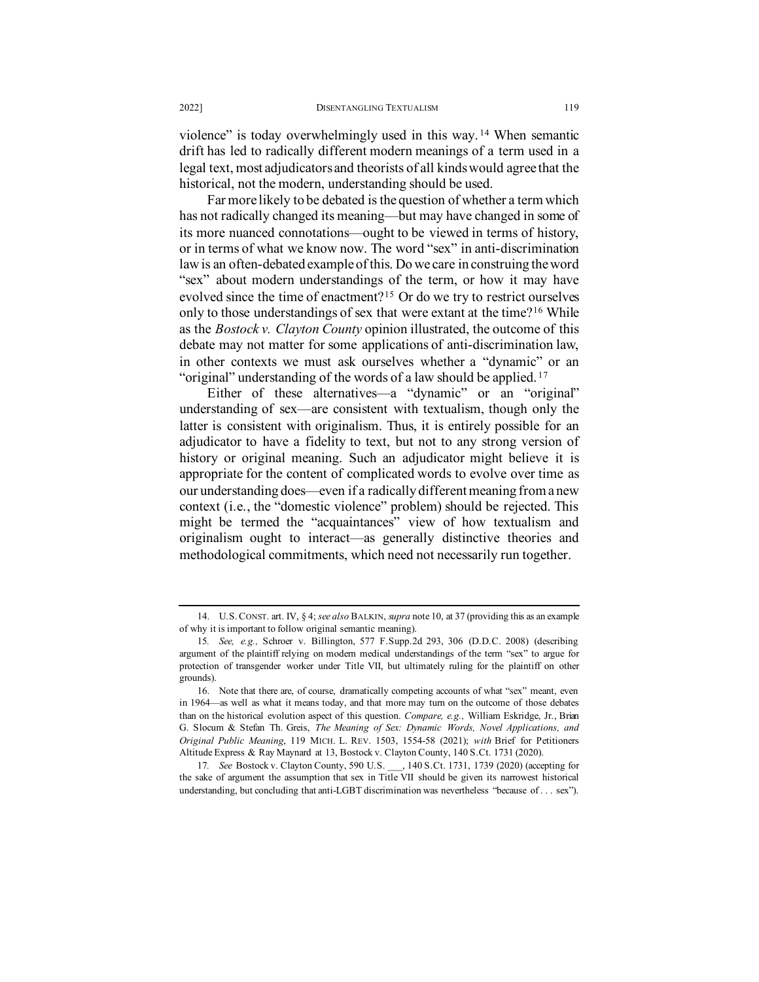<span id="page-4-4"></span>violence" is today overwhelmingly used in this way. [14](#page-4-0) When semantic drift has led to radically different modern meanings of a term used in a legal text, most adjudicators and theorists of all kinds would agree that the historical, not the modern, understanding should be used.

Far more likely to be debated is the question of whether a term which has not radically changed its meaning—but may have changed in some of its more nuanced connotations—ought to be viewed in terms of history, or in terms of what we know now. The word "sex" in anti-discrimination law is an often-debated example ofthis. Do we care in construing the word "sex" about modern understandings of the term, or how it may have evolved since the time of enactment?[15](#page-4-1) Or do we try to restrict ourselves only to those understandings of sex that were extant at the time?[16](#page-4-2) While as the *Bostock v. Clayton County* opinion illustrated, the outcome of this debate may not matter for some applications of anti-discrimination law, in other contexts we must ask ourselves whether a "dynamic" or an "original" understanding of the words of a law should be applied. [17](#page-4-3)

Either of these alternatives—a "dynamic" or an "original" understanding of sex—are consistent with textualism, though only the latter is consistent with originalism. Thus, it is entirely possible for an adjudicator to have a fidelity to text, but not to any strong version of history or original meaning. Such an adjudicator might believe it is appropriate for the content of complicated words to evolve over time as our understanding does—even if a radically different meaning from a new context (i.e., the "domestic violence" problem) should be rejected. This might be termed the "acquaintances" view of how textualism and originalism ought to interact—as generally distinctive theories and methodological commitments, which need not necessarily run together.

<span id="page-4-0"></span><sup>14.</sup> U.S.CONST. art. IV, § 4; *see also* BALKIN, *supra* note 10, at 37 (providing this as an example of why it is important to follow original semantic meaning).

<span id="page-4-1"></span><sup>15</sup>*. See, e.g.,* Schroer v. Billington, 577 F.Supp.2d 293, 306 (D.D.C. 2008) (describing argument of the plaintiff relying on modern medical understandings of the term "sex" to argue for protection of transgender worker under Title VII, but ultimately ruling for the plaintiff on other grounds).

<span id="page-4-2"></span><sup>16.</sup> Note that there are, of course, dramatically competing accounts of what "sex" meant, even in 1964—as well as what it means today, and that more may turn on the outcome of those debates than on the historical evolution aspect of this question. *Compare, e.g.,* William Eskridge, Jr., Brian G. Slocum & Stefan Th. Greis, *The Meaning of Sex: Dynamic Words, Novel Applications, and Original Public Meaning*, 119 MICH. L. REV. 1503, 1554-58 (2021); *with* Brief for Petitioners Altitude Express & Ray Maynard at 13, Bostock v. Clayton County, 140 S.Ct. 1731 (2020).

<span id="page-4-3"></span><sup>17</sup>*. See* Bostock v. Clayton County, 590 U.S. \_\_\_, 140 S.Ct. 1731, 1739 (2020) (accepting for the sake of argument the assumption that sex in Title VII should be given its narrowest historical understanding, but concluding that anti-LGBT discrimination was nevertheless "because of . . . sex").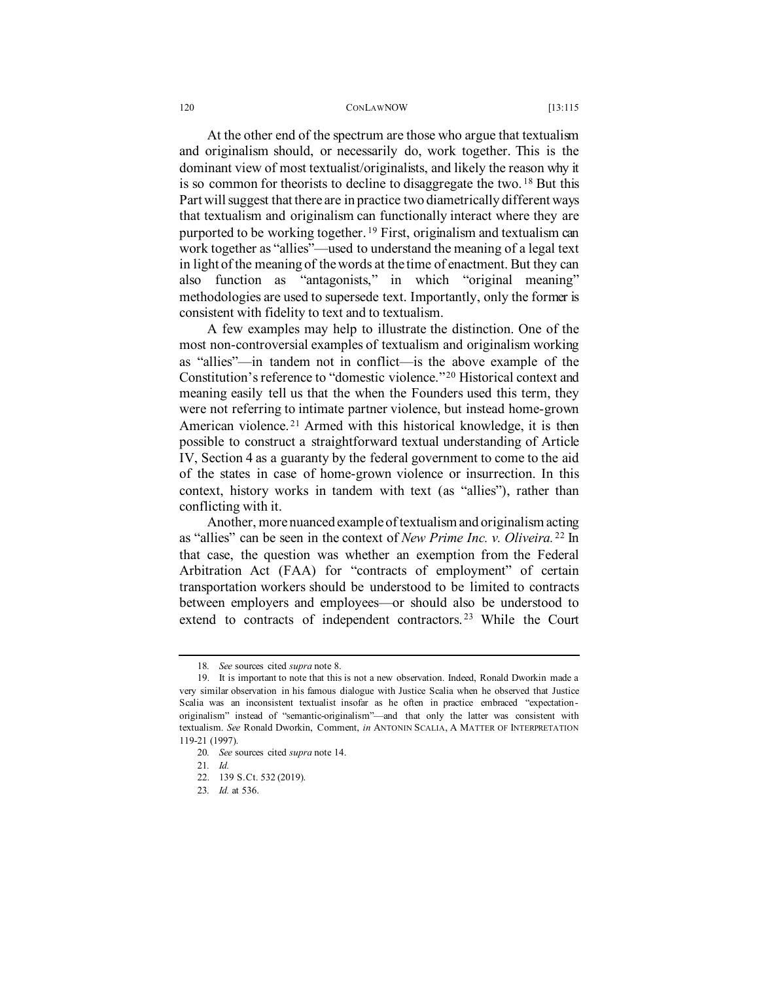<span id="page-5-6"></span>At the other end of the spectrum are those who argue that textualism and originalism should, or necessarily do, work together. This is the dominant view of most textualist/originalists, and likely the reason why it is so common for theorists to decline to disaggregate the two. [18](#page-5-0) But this Part will suggest that there are in practice two diametrically different ways that textualism and originalism can functionally interact where they are purported to be working together. [19](#page-5-1) First, originalism and textualism can work together as "allies"—used to understand the meaning of a legal text in light of the meaning of the words at the time of enactment. But they can also function as "antagonists," in which "original meaning" methodologies are used to supersede text. Importantly, only the former is consistent with fidelity to text and to textualism.

A few examples may help to illustrate the distinction. One of the most non-controversial examples of textualism and originalism working as "allies"—in tandem not in conflict—is the above example of the Constitution's reference to "domestic violence."[20](#page-5-2) Historical context and meaning easily tell us that the when the Founders used this term, they were not referring to intimate partner violence, but instead home-grown American violence.<sup>[21](#page-5-3)</sup> Armed with this historical knowledge, it is then possible to construct a straightforward textual understanding of Article IV, Section 4 as a guaranty by the federal government to come to the aid of the states in case of home-grown violence or insurrection. In this context, history works in tandem with text (as "allies"), rather than conflicting with it.

Another, more nuanced example of textualism and originalism acting as "allies" can be seen in the context of *New Prime Inc. v. Oliveira.* [22](#page-5-4) In that case, the question was whether an exemption from the Federal Arbitration Act (FAA) for "contracts of employment" of certain transportation workers should be understood to be limited to contracts between employers and employees—or should also be understood to extend to contracts of independent contractors. [23](#page-5-5) While the Court

<sup>18</sup>*. See* sources cited *supra* not[e 8.](#page-1-0)

<span id="page-5-2"></span><span id="page-5-1"></span><span id="page-5-0"></span><sup>19.</sup> It is important to note that this is not a new observation. Indeed, Ronald Dworkin made a very similar observation in his famous dialogue with Justice Scalia when he observed that Justice Scalia was an inconsistent textualist insofar as he often in practice embraced "expectationoriginalism" instead of "semantic-originalism"—and that only the latter was consistent with textualism. *See* Ronald Dworkin, Comment, *in* ANTONIN SCALIA, A MATTER OF INTERPRETATION 119-21 (1997).

<span id="page-5-4"></span><span id="page-5-3"></span><sup>20</sup>*. See* sources cited *supra* not[e 14.](#page-4-4)

<sup>21</sup>*. Id.*

<span id="page-5-5"></span><sup>22.</sup> 139 S.Ct. 532 (2019).

<sup>23</sup>*. Id.* at 536.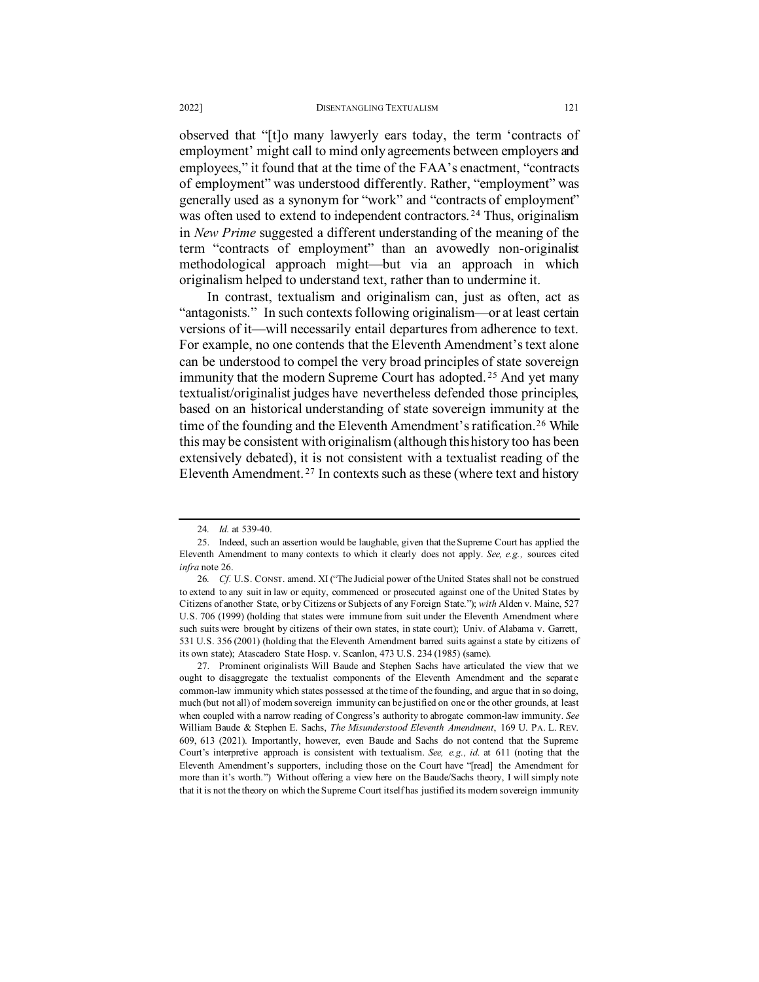observed that "[t]o many lawyerly ears today, the term 'contracts of employment' might call to mind only agreements between employers and employees," it found that at the time of the FAA's enactment, "contracts of employment" was understood differently. Rather, "employment" was generally used as a synonym for "work" and "contracts of employment" was often used to extend to independent contractors. [24](#page-6-1) Thus, originalism in *New Prime* suggested a different understanding of the meaning of the term "contracts of employment" than an avowedly non-originalist methodological approach might—but via an approach in which originalism helped to understand text, rather than to undermine it.

In contrast, textualism and originalism can, just as often, act as "antagonists." In such contexts following originalism—or at least certain versions of it—will necessarily entail departures from adherence to text. For example, no one contends that the Eleventh Amendment's text alone can be understood to compel the very broad principles of state sovereign immunity that the modern Supreme Court has adopted. [25](#page-6-2) And yet many textualist/originalist judges have nevertheless defended those principles, based on an historical understanding of state sovereign immunity at the time of the founding and the Eleventh Amendment's ratification.<sup>[26](#page-6-3)</sup> While this may be consistent with originalism (although this history too has been extensively debated), it is not consistent with a textualist reading of the Eleventh Amendment. [27](#page-6-4) In contexts such as these (where text and history

<span id="page-6-0"></span><sup>24</sup>*. Id.* at 539-40.

<span id="page-6-2"></span><span id="page-6-1"></span><sup>25.</sup> Indeed, such an assertion would be laughable, given that the Supreme Court has applied the Eleventh Amendment to many contexts to which it clearly does not apply. *See, e.g.,* sources cited *infra* not[e 26.](#page-6-0)

<span id="page-6-3"></span><sup>26</sup>*. Cf.* U.S. CONST. amend. XI ("The Judicial power of the United States shall not be construed to extend to any suit in law or equity, commenced or prosecuted against one of the United States by Citizens of another State, or by Citizens or Subjects of any Foreign State."); *with* Alden v. Maine, 527 U.S. 706 (1999) (holding that states were immune from suit under the Eleventh Amendment where such suits were brought by citizens of their own states, in state court); Univ. of Alabama v. Garrett, 531 U.S. 356 (2001) (holding that the Eleventh Amendment barred suits against a state by citizens of its own state); Atascadero State Hosp. v. Scanlon, 473 U.S. 234 (1985) (same).

<span id="page-6-4"></span><sup>27.</sup> Prominent originalists Will Baude and Stephen Sachs have articulated the view that we ought to disaggregate the textualist components of the Eleventh Amendment and the separate common-law immunity which states possessed at the time of the founding, and argue that in so doing, much (but not all) of modern sovereign immunity can be justified on one or the other grounds, at least when coupled with a narrow reading of Congress's authority to abrogate common-law immunity. *See*  William Baude & Stephen E. Sachs, *The Misunderstood Eleventh Amendment*, 169 U. PA. L. REV. 609, 613 (2021). Importantly, however, even Baude and Sachs do not contend that the Supreme Court's interpretive approach is consistent with textualism. *See, e.g., id.* at 611 (noting that the Eleventh Amendment's supporters, including those on the Court have "[read] the Amendment for more than it's worth.") Without offering a view here on the Baude/Sachs theory, I will simply note that it is not the theory on which the Supreme Court itself has justified its modern sovereign immunity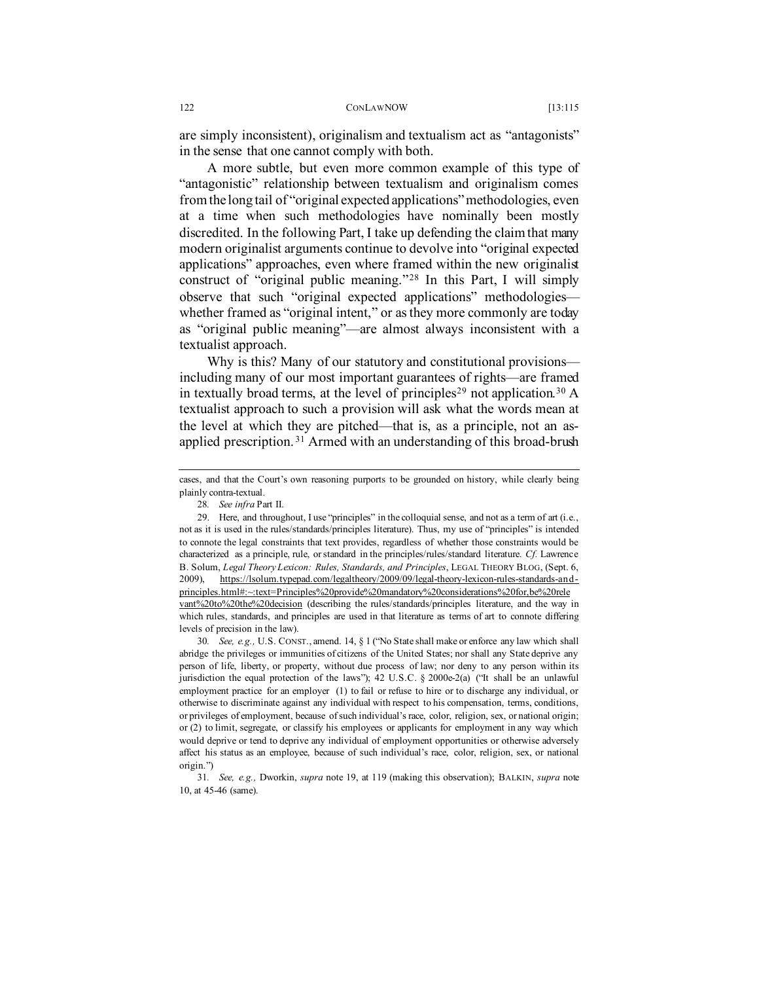are simply inconsistent), originalism and textualism act as "antagonists" in the sense that one cannot comply with both.

A more subtle, but even more common example of this type of "antagonistic" relationship between textualism and originalism comes from the long tail of "original expected applications" methodologies, even at a time when such methodologies have nominally been mostly discredited. In the following Part, I take up defending the claim that many modern originalist arguments continue to devolve into "original expected applications" approaches, even where framed within the new originalist construct of "original public meaning."[28](#page-7-0) In this Part, I will simply observe that such "original expected applications" methodologies whether framed as "original intent," or as they more commonly are today as "original public meaning"—are almost always inconsistent with a textualist approach.

Why is this? Many of our statutory and constitutional provisions including many of our most important guarantees of rights—are framed in textually broad terms, at the level of principles<sup>[29](#page-7-1)</sup> not application.<sup>[30](#page-7-2)</sup> A textualist approach to such a provision will ask what the words mean at the level at which they are pitched—that is, as a principle, not an asapplied prescription. [31](#page-7-3) Armed with an understanding of this broad-brush

<span id="page-7-2"></span>30*. See, e.g.,* U.S. CONST., amend. 14, § 1 ("No State shall make or enforce any law which shall abridge the privileges or immunities of citizens of the United States; nor shall any State deprive any person of life, liberty, or property, without due process of law; nor deny to any person within its jurisdiction the equal protection of the laws"); 42 U.S.C. § 2000e-2(a) ("It shall be an unlawful employment practice for an employer (1) to fail or refuse to hire or to discharge any individual, or otherwise to discriminate against any individual with respect to his compensation, terms, conditions, or privileges of employment, because of such individual's race, color, religion, sex, or national origin; or (2) to limit, segregate, or classify his employees or applicants for employment in any way which would deprive or tend to deprive any individual of employment opportunities or otherwise adversely affect his status as an employee, because of such individual's race, color, religion, sex, or national origin.")

<span id="page-7-3"></span>31*. See, e.g.,* Dworkin, *supra* not[e 19,](#page-5-6) at 119 (making this observation); BALKIN, *supra* note 10, at 45-46 (same).

cases, and that the Court's own reasoning purports to be grounded on history, while clearly being plainly contra-textual.

<span id="page-7-4"></span><sup>28</sup>*. See infra* Part II.

<span id="page-7-1"></span><span id="page-7-0"></span><sup>29.</sup> Here, and throughout, I use "principles" in the colloquial sense, and not as a term of art (i.e., not as it is used in the rules/standards/principles literature). Thus, my use of "principles" is intended to connote the legal constraints that text provides, regardless of whether those constraints would be characterized as a principle, rule, or standard in the principles/rules/standard literature. *Cf.* Lawrence B. Solum, *Legal Theory Lexicon: Rules, Standards, and Principles*, LEGAL THEORY BLOG, (Sept. 6, 2009), [https://lsolum.typepad.com/legaltheory/2009/09/legal-theory-lexicon-rules-standards-and](https://lsolum.typepad.com/legaltheory/2009/09/legal-theory-lexicon-rules-standards-and-principles.html#:%7E:text=Principles%20provide%20mandatory%20considerations%20for,be%20relevant%20to%20the%20decision)[principles.html#:~:text=Principles%20provide%20mandatory%20considerations%20for,be%20rele](https://lsolum.typepad.com/legaltheory/2009/09/legal-theory-lexicon-rules-standards-and-principles.html#:%7E:text=Principles%20provide%20mandatory%20considerations%20for,be%20relevant%20to%20the%20decision) [vant%20to%20the%20decision](https://lsolum.typepad.com/legaltheory/2009/09/legal-theory-lexicon-rules-standards-and-principles.html#:%7E:text=Principles%20provide%20mandatory%20considerations%20for,be%20relevant%20to%20the%20decision) (describing the rules/standards/principles literature, and the way in which rules, standards, and principles are used in that literature as terms of art to connote differing levels of precision in the law).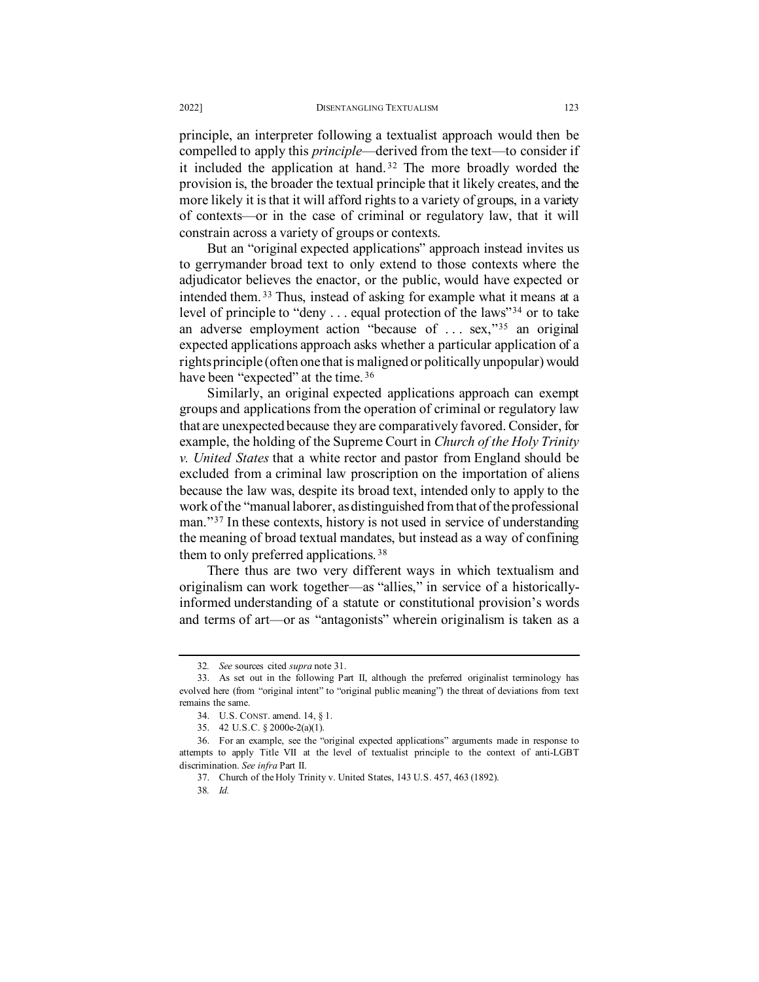principle, an interpreter following a textualist approach would then be compelled to apply this *principle*—derived from the text—to consider if it included the application at hand. [32](#page-8-0) The more broadly worded the provision is, the broader the textual principle that it likely creates, and the more likely it is that it will afford rights to a variety of groups, in a variety of contexts—or in the case of criminal or regulatory law, that it will constrain across a variety of groups or contexts.

But an "original expected applications" approach instead invites us to gerrymander broad text to only extend to those contexts where the adjudicator believes the enactor, or the public, would have expected or intended them. [33](#page-8-1) Thus, instead of asking for example what it means at a level of principle to "deny . . . equal protection of the laws"[34](#page-8-2) or to take an adverse employment action "because of ... sex,"<sup>[35](#page-8-3)</sup> an original expected applications approach asks whether a particular application of a rights principle (often one that is maligned or politically unpopular) would have been "expected" at the time.<sup>[36](#page-8-4)</sup>

Similarly, an original expected applications approach can exempt groups and applications from the operation of criminal or regulatory law that are unexpected because they are comparatively favored. Consider, for example, the holding of the Supreme Court in *Church of the Holy Trinity v. United States* that a white rector and pastor from England should be excluded from a criminal law proscription on the importation of aliens because the law was, despite its broad text, intended only to apply to the work of the "manual laborer, as distinguished from that of the professional man."[37](#page-8-5) In these contexts, history is not used in service of understanding the meaning of broad textual mandates, but instead as a way of confining them to only preferred applications. [38](#page-8-6)

There thus are two very different ways in which textualism and originalism can work together—as "allies," in service of a historicallyinformed understanding of a statute or constitutional provision's words and terms of art—or as "antagonists" wherein originalism is taken as a

<sup>32</sup>*. See* sources cited *supra* not[e 31.](#page-7-4)

<span id="page-8-1"></span><span id="page-8-0"></span><sup>33.</sup> As set out in the following Part II, although the preferred originalist terminology has evolved here (from "original intent" to "original public meaning") the threat of deviations from text remains the same.

<sup>34.</sup> U.S. CONST. amend. 14, § 1.

<sup>35.</sup> 42 U.S.C. § 2000e-2(a)(1).

<span id="page-8-6"></span><span id="page-8-5"></span><span id="page-8-4"></span><span id="page-8-3"></span><span id="page-8-2"></span><sup>36.</sup> For an example, see the "original expected applications" arguments made in response to attempts to apply Title VII at the level of textualist principle to the context of anti-LGBT discrimination. *See infra* Part II.

<sup>37.</sup> Church of the Holy Trinity v. United States, 143 U.S. 457, 463 (1892).

<sup>38</sup>*. Id.*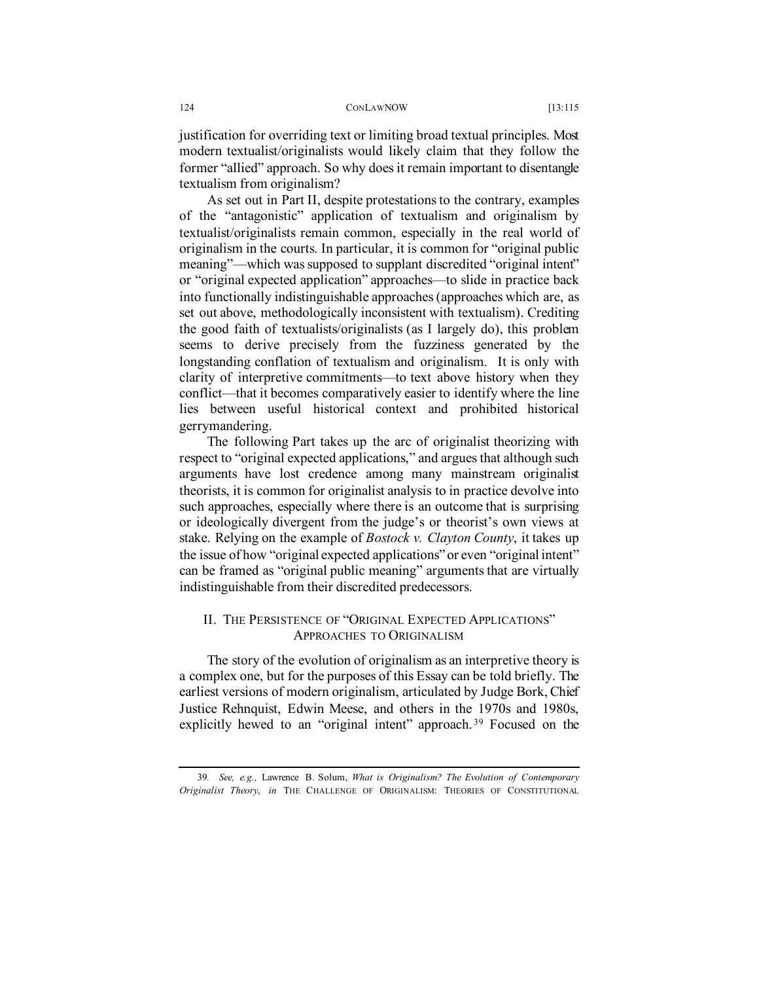justification for overriding text or limiting broad textual principles. Most modern textualist/originalists would likely claim that they follow the former "allied" approach. So why does it remain important to disentangle textualism from originalism?

As set out in Part II, despite protestations to the contrary, examples of the "antagonistic" application of textualism and originalism by textualist/originalists remain common, especially in the real world of originalism in the courts. In particular, it is common for "original public meaning"—which was supposed to supplant discredited "original intent" or "original expected application" approaches—to slide in practice back into functionally indistinguishable approaches (approaches which are, as set out above, methodologically inconsistent with textualism). Crediting the good faith of textualists/originalists (as I largely do), this problem seems to derive precisely from the fuzziness generated by the longstanding conflation of textualism and originalism. It is only with clarity of interpretive commitments—to text above history when they conflict—that it becomes comparatively easier to identify where the line lies between useful historical context and prohibited historical gerrymandering.

The following Part takes up the arc of originalist theorizing with respect to "original expected applications," and argues that although such arguments have lost credence among many mainstream originalist theorists, it is common for originalist analysis to in practice devolve into such approaches, especially where there is an outcome that is surprising or ideologically divergent from the judge's or theorist's own views at stake. Relying on the example of *Bostock v. Clayton County*, it takes up the issue of how "original expected applications" or even "original intent" can be framed as "original public meaning" arguments that are virtually indistinguishable from their discredited predecessors.

## <span id="page-9-1"></span>II. THE PERSISTENCE OF "ORIGINAL EXPECTED APPLICATIONS" APPROACHES TO ORIGINALISM

The story of the evolution of originalism as an interpretive theory is a complex one, but for the purposes of this Essay can be told briefly. The earliest versions of modern originalism, articulated by Judge Bork, Chief Justice Rehnquist, Edwin Meese, and others in the 1970s and 1980s, explicitly hewed to an "original intent" approach.<sup>[39](#page-9-0)</sup> Focused on the

<span id="page-9-0"></span><sup>39</sup>*. See, e.g.,* Lawrence B. Solum, *What is Originalism? The Evolution of Contemporary Originalist Theory*, *in* THE CHALLENGE OF ORIGINALISM: THEORIES OF CONSTITUTIONAL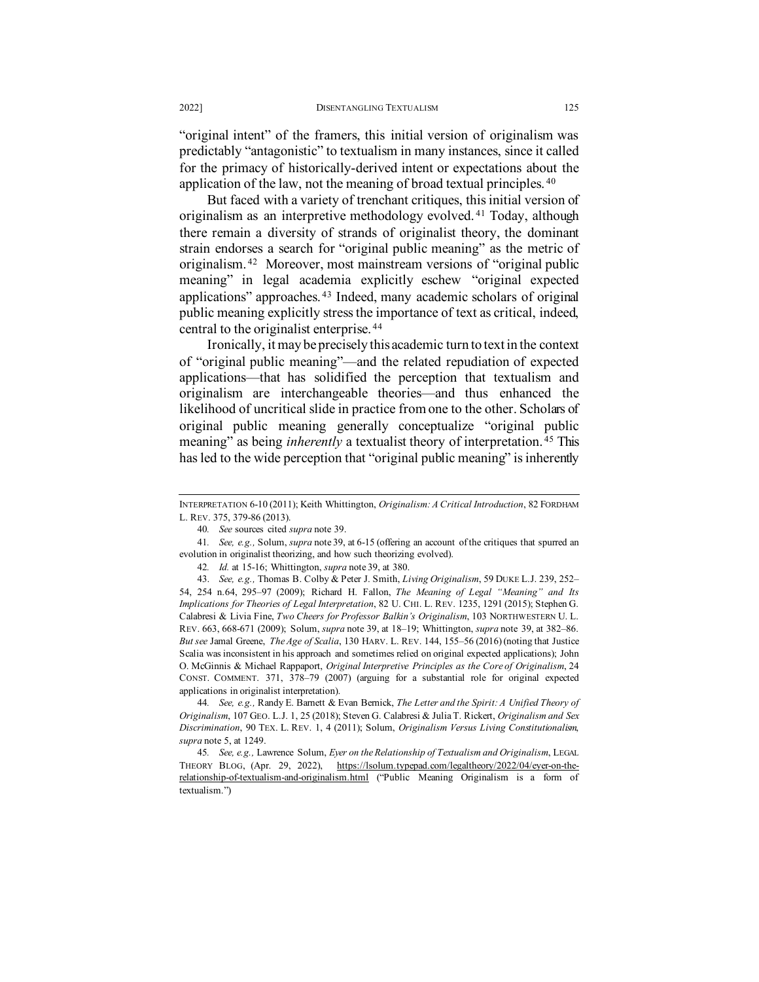"original intent" of the framers, this initial version of originalism was predictably "antagonistic" to textualism in many instances, since it called for the primacy of historically-derived intent or expectations about the application of the law, not the meaning of broad textual principles. [40](#page-10-0)

But faced with a variety of trenchant critiques, this initial version of originalism as an interpretive methodology evolved. [41](#page-10-1) Today, although there remain a diversity of strands of originalist theory, the dominant strain endorses a search for "original public meaning" as the metric of originalism. [42](#page-10-2) Moreover, most mainstream versions of "original public meaning" in legal academia explicitly eschew "original expected applications" approaches. [43](#page-10-3) Indeed, many academic scholars of original public meaning explicitly stress the importance of text as critical, indeed, central to the originalist enterprise. [44](#page-10-4)

Ironically, it may be precisely this academic turn to text in the context of "original public meaning"—and the related repudiation of expected applications—that has solidified the perception that textualism and originalism are interchangeable theories—and thus enhanced the likelihood of uncritical slide in practice from one to the other. Scholars of original public meaning generally conceptualize "original public meaning" as being *inherently* a textualist theory of interpretation.<sup>[45](#page-10-5)</sup> This has led to the wide perception that "original public meaning" is inherently

INTERPRETATION 6-10 (2011); Keith Whittington, *Originalism: A Critical Introduction*, 82 FORDHAM L. REV. 375, 379-86 (2013).

<span id="page-10-6"></span><sup>40</sup>*. See* sources cited *supra* not[e 39.](#page-9-1)

<span id="page-10-1"></span><span id="page-10-0"></span><sup>41</sup>*. See, e.g.,* Solum, *supra* not[e 39,](#page-9-1) at 6-15 (offering an account of the critiques that spurred an evolution in originalist theorizing, and how such theorizing evolved).

<sup>42</sup>*. Id.* at 15-16; Whittington, *supra* not[e 39,](#page-9-1) at 380.

<span id="page-10-3"></span><span id="page-10-2"></span><sup>43.</sup> *See, e.g.,* Thomas B. Colby & Peter J. Smith, *Living Originalism*, 59 DUKE L.J. 239, 252– 54, 254 n.64, 295–97 (2009); Richard H. Fallon, *The Meaning of Legal "Meaning" and Its Implications for Theories of Legal Interpretation*, 82 U. CHI. L. REV. 1235, 1291 (2015); Stephen G. Calabresi & Livia Fine, *Two Cheers for Professor Balkin's Originalism*, 103 NORTHWESTERN U. L. REV. 663, 668-671 (2009); Solum, *supra* note [39,](#page-9-1) at 18–19; Whittington, *supra* note [39,](#page-9-1) at 382–86. *But see* Jamal Greene, *The Age of Scalia*, 130 HARV. L. REV. 144, 155–56 (2016) (noting that Justice Scalia was inconsistent in his approach and sometimes relied on original expected applications); John O. McGinnis & Michael Rappaport, *Original Interpretive Principles as the Core of Originalism*, 24 CONST. COMMENT. 371, 378–79 (2007) (arguing for a substantial role for original expected applications in originalist interpretation).

<span id="page-10-4"></span><sup>44</sup>*. See, e.g.,* Randy E. Barnett & Evan Bernick, *The Letter and the Spirit: A Unified Theory of Originalism*, 107 GEO. L.J. 1, 25 (2018); Steven G. Calabresi & Julia T. Rickert, *Originalism and Sex Discrimination*, 90 TEX. L. REV. 1, 4 (2011); Solum, *Originalism Versus Living Constitutionalism*, *supra* note [5,](#page-1-5) at 1249.

<span id="page-10-5"></span><sup>45</sup>*. See, e.g.,* Lawrence Solum, *Eyer on the Relationship of Textualism and Originalism*, LEGAL THEORY BLOG, (Apr. 29, 2022), [https://lsolum.typepad.com/legaltheory/2022/04/eyer-on-the](https://lsolum.typepad.com/legaltheory/2022/04/eyer-on-the-relationship-of-textualism-and-originalism.html)[relationship-of-textualism-and-originalism.html](https://lsolum.typepad.com/legaltheory/2022/04/eyer-on-the-relationship-of-textualism-and-originalism.html) ("Public Meaning Originalism is a form of textualism.")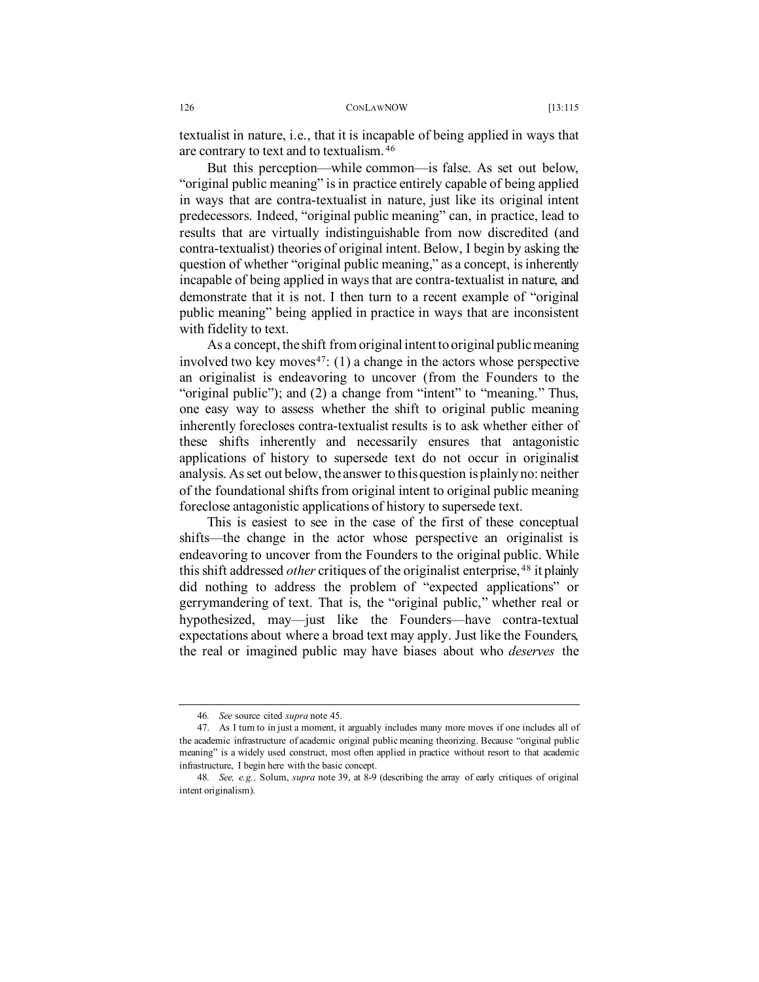textualist in nature, i.e., that it is incapable of being applied in ways that are contrary to text and to textualism. [46](#page-11-0)

But this perception—while common—is false. As set out below, "original public meaning" is in practice entirely capable of being applied in ways that are contra-textualist in nature, just like its original intent predecessors. Indeed, "original public meaning" can, in practice, lead to results that are virtually indistinguishable from now discredited (and contra-textualist) theories of original intent. Below, I begin by asking the question of whether "original public meaning," as a concept, is inherently incapable of being applied in ways that are contra-textualist in nature, and demonstrate that it is not. I then turn to a recent example of "original public meaning" being applied in practice in ways that are inconsistent with fidelity to text.

As a concept, the shift from original intent to original public meaning involved two key moves $47$ : (1) a change in the actors whose perspective an originalist is endeavoring to uncover (from the Founders to the "original public"); and (2) a change from "intent" to "meaning." Thus, one easy way to assess whether the shift to original public meaning inherently forecloses contra-textualist results is to ask whether either of these shifts inherently and necessarily ensures that antagonistic applications of history to supersede text do not occur in originalist analysis. As set out below, the answer to this question is plainly no: neither of the foundational shifts from original intent to original public meaning foreclose antagonistic applications of history to supersede text.

This is easiest to see in the case of the first of these conceptual shifts—the change in the actor whose perspective an originalist is endeavoring to uncover from the Founders to the original public. While this shift addressed *other* critiques of the originalist enterprise, [48](#page-11-2) it plainly did nothing to address the problem of "expected applications" or gerrymandering of text. That is, the "original public," whether real or hypothesized, may—just like the Founders—have contra-textual expectations about where a broad text may apply. Just like the Founders, the real or imagined public may have biases about who *deserves* the

<sup>46</sup>*. See* source cited *supra* not[e 45.](#page-10-6)

<span id="page-11-1"></span><span id="page-11-0"></span><sup>47.</sup> As I turn to in just a moment, it arguably includes many more moves if one includes all of the academic infrastructure of academic original public meaning theorizing. Because "original public meaning" is a widely used construct, most often applied in practice without resort to that academic infrastructure, I begin here with the basic concept.

<span id="page-11-2"></span><sup>48</sup>*. See, e.g.,* Solum, *supra* not[e 39,](#page-9-1) at 8-9 (describing the array of early critiques of original intent originalism).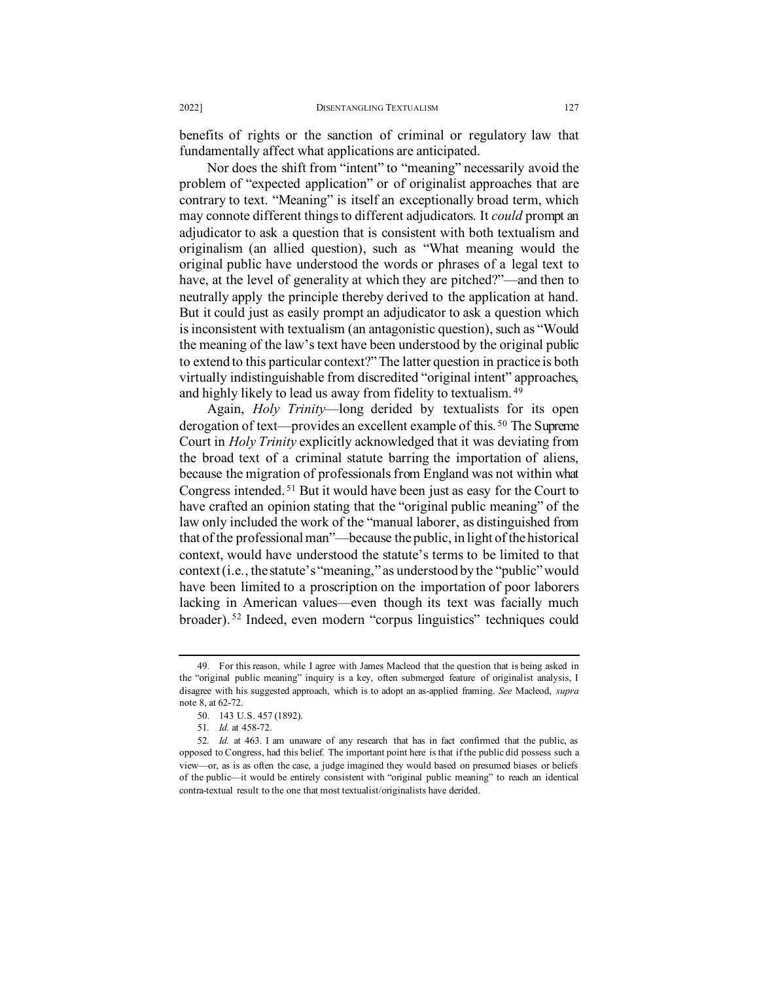benefits of rights or the sanction of criminal or regulatory law that fundamentally affect what applications are anticipated.

Nor does the shift from "intent" to "meaning" necessarily avoid the problem of "expected application" or of originalist approaches that are contrary to text. "Meaning" is itself an exceptionally broad term, which may connote different things to different adjudicators. It *could* prompt an adjudicator to ask a question that is consistent with both textualism and originalism (an allied question), such as "What meaning would the original public have understood the words or phrases of a legal text to have, at the level of generality at which they are pitched?"—and then to neutrally apply the principle thereby derived to the application at hand. But it could just as easily prompt an adjudicator to ask a question which is inconsistent with textualism (an antagonistic question), such as "Would the meaning of the law's text have been understood by the original public to extend to this particular context?" The latter question in practice is both virtually indistinguishable from discredited "original intent" approaches, and highly likely to lead us away from fidelity to textualism. [49](#page-12-0)

Again, *Holy Trinity*—long derided by textualists for its open derogation of text—provides an excellent example of this. [50](#page-12-1) The Supreme Court in *Holy Trinity* explicitly acknowledged that it was deviating from the broad text of a criminal statute barring the importation of aliens, because the migration of professionals from England was not within what Congress intended. [51](#page-12-2) But it would have been just as easy for the Court to have crafted an opinion stating that the "original public meaning" of the law only included the work of the "manual laborer, as distinguished from that of the professional man"—because the public, in light of the historical context, would have understood the statute's terms to be limited to that context (i.e., the statute's "meaning," as understood by the "public" would have been limited to a proscription on the importation of poor laborers lacking in American values—even though its text was facially much broader). [52](#page-12-3) Indeed, even modern "corpus linguistics" techniques could

<span id="page-12-0"></span><sup>49.</sup> For this reason, while I agree with James Macleod that the question that is being asked in the "original public meaning" inquiry is a key, often submerged feature of originalist analysis, I disagree with his suggested approach, which is to adopt an as-applied framing. *See* Macleod, *supra*  note 8, at 62-72.

<sup>50.</sup> 143 U.S. 457 (1892).

<sup>51</sup>*. Id.* at 458-72.

<span id="page-12-3"></span><span id="page-12-2"></span><span id="page-12-1"></span><sup>52</sup>*. Id.* at 463. I am unaware of any research that has in fact confirmed that the public, as opposed to Congress, had this belief. The important point here is that if the public did possess such a view—or, as is as often the case, a judge imagined they would based on presumed biases or beliefs of the public—it would be entirely consistent with "original public meaning" to reach an identical contra-textual result to the one that most textualist/originalists have derided.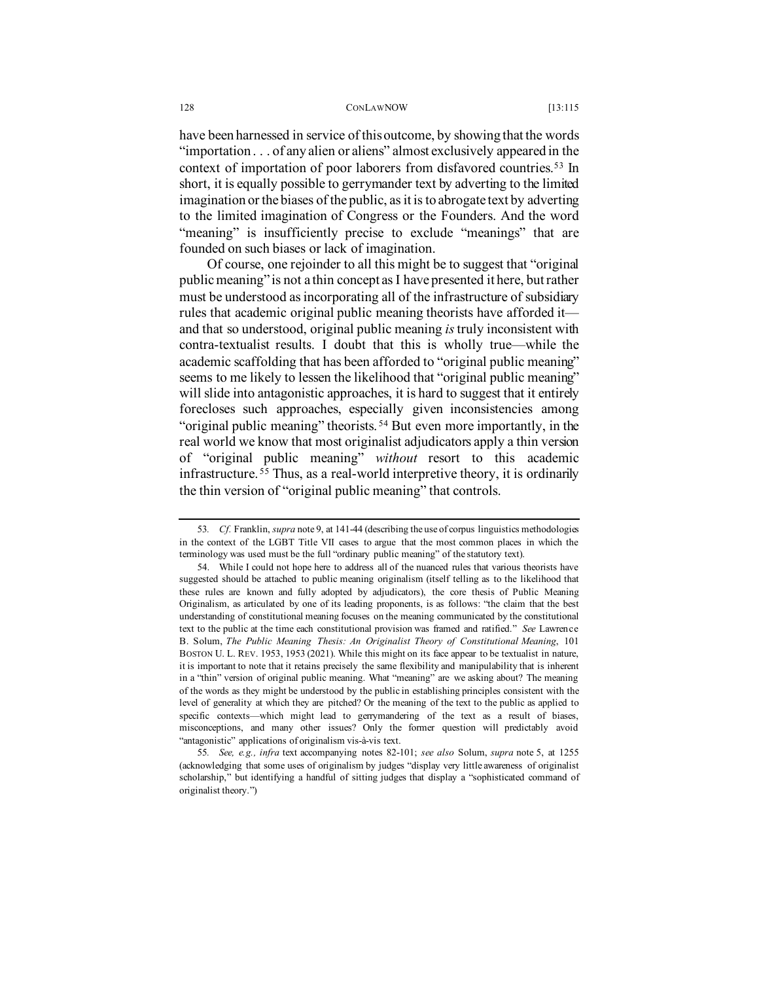have been harnessed in service of this outcome, by showing that the words "importation . . . of any alien or aliens" almost exclusively appeared in the context of importation of poor laborers from disfavored countries.[53](#page-13-0) In short, it is equally possible to gerrymander text by adverting to the limited imagination or the biases of the public, as it is to abrogate text by adverting to the limited imagination of Congress or the Founders. And the word "meaning" is insufficiently precise to exclude "meanings" that are founded on such biases or lack of imagination.

Of course, one rejoinder to all this might be to suggest that "original public meaning" is not a thin concept as I have presented it here, but rather must be understood as incorporating all of the infrastructure of subsidiary rules that academic original public meaning theorists have afforded it and that so understood, original public meaning *is* truly inconsistent with contra-textualist results. I doubt that this is wholly true—while the academic scaffolding that has been afforded to "original public meaning" seems to me likely to lessen the likelihood that "original public meaning" will slide into antagonistic approaches, it is hard to suggest that it entirely forecloses such approaches, especially given inconsistencies among "original public meaning" theorists. [54](#page-13-1) But even more importantly, in the real world we know that most originalist adjudicators apply a thin version of "original public meaning" *without* resort to this academic infrastructure. [55](#page-13-2) Thus, as a real-world interpretive theory, it is ordinarily the thin version of "original public meaning" that controls.

<span id="page-13-0"></span><sup>53</sup>*. Cf.* Franklin, *supra* not[e 9,](#page-2-2) at 141-44 (describing the use of corpus linguistics methodologies in the context of the LGBT Title VII cases to argue that the most common places in which the terminology was used must be the full "ordinary public meaning" of the statutory text).

<span id="page-13-1"></span><sup>54.</sup> While I could not hope here to address all of the nuanced rules that various theorists have suggested should be attached to public meaning originalism (itself telling as to the likelihood that these rules are known and fully adopted by adjudicators), the core thesis of Public Meaning Originalism, as articulated by one of its leading proponents, is as follows: "the claim that the best understanding of constitutional meaning focuses on the meaning communicated by the constitutional text to the public at the time each constitutional provision was framed and ratified." *See* Lawrence B. Solum, *The Public Meaning Thesis: An Originalist Theory of Constitutional Meaning*, 101 BOSTON U. L. REV. 1953, 1953 (2021). While this might on its face appear to be textualist in nature, it is important to note that it retains precisely the same flexibility and manipulability that is inherent in a "thin" version of original public meaning. What "meaning" are we asking about? The meaning of the words as they might be understood by the public in establishing principles consistent with the level of generality at which they are pitched? Or the meaning of the text to the public as applied to specific contexts—which might lead to gerrymandering of the text as a result of biases, misconceptions, and many other issues? Only the former question will predictably avoid "antagonistic" applications of originalism vis-à-vis text.

<span id="page-13-2"></span><sup>55</sup>*. See, e.g., infra* text accompanying notes [82-](#page-20-0)[101;](#page-22-0) *see also* Solum, *supra* note [5,](#page-1-5) at 1255 (acknowledging that some uses of originalism by judges "display very little awareness of originalist scholarship," but identifying a handful of sitting judges that display a "sophisticated command of originalist theory.")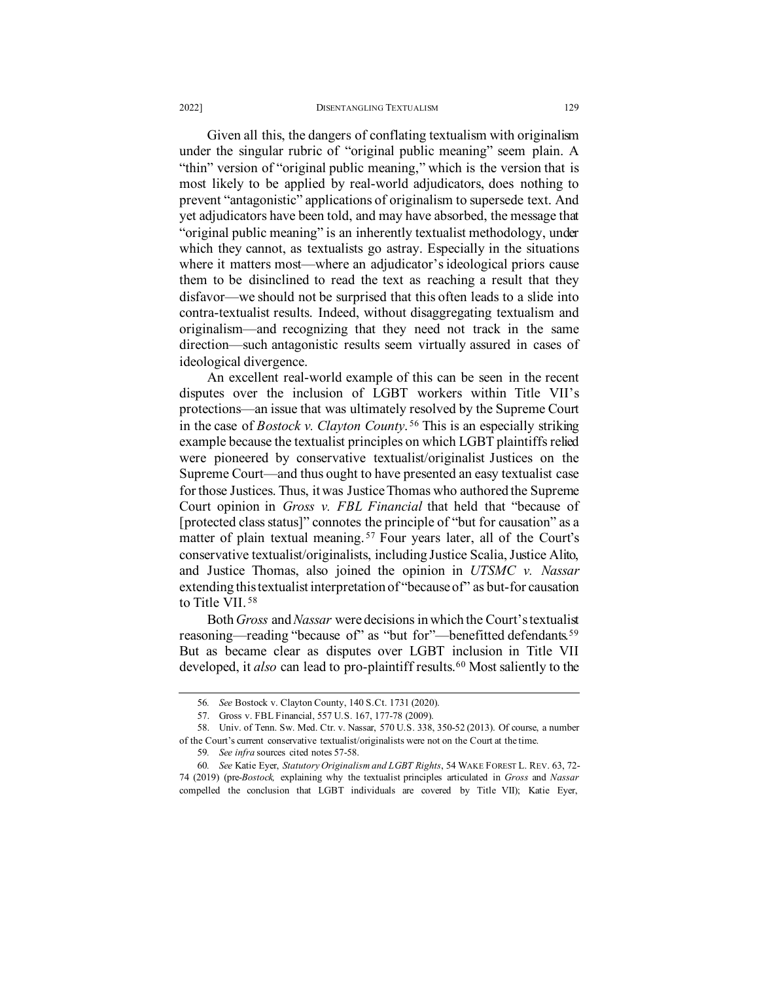## 2022] DISENTANGLING TEXTUALISM 129

Given all this, the dangers of conflating textualism with originalism under the singular rubric of "original public meaning" seem plain. A "thin" version of "original public meaning," which is the version that is most likely to be applied by real-world adjudicators, does nothing to prevent "antagonistic" applications of originalism to supersede text. And yet adjudicators have been told, and may have absorbed, the message that "original public meaning" is an inherently textualist methodology, under which they cannot, as textualists go astray. Especially in the situations where it matters most—where an adjudicator's ideological priors cause them to be disinclined to read the text as reaching a result that they disfavor—we should not be surprised that this often leads to a slide into contra-textualist results. Indeed, without disaggregating textualism and originalism—and recognizing that they need not track in the same direction—such antagonistic results seem virtually assured in cases of ideological divergence.

<span id="page-14-9"></span>An excellent real-world example of this can be seen in the recent disputes over the inclusion of LGBT workers within Title VII's protections—an issue that was ultimately resolved by the Supreme Court in the case of *Bostock v. Clayton County*. [56](#page-14-2) This is an especially striking example because the textualist principles on which LGBT plaintiffs relied were pioneered by conservative textualist/originalist Justices on the Supreme Court—and thus ought to have presented an easy textualist case for those Justices. Thus, it was Justice Thomas who authored the Supreme Court opinion in *Gross v. FBL Financial* that held that "because of [protected class status]" connotes the principle of "but for causation" as a matter of plain textual meaning.<sup>[57](#page-14-3)</sup> Four years later, all of the Court's conservative textualist/originalists, including Justice Scalia, Justice Alito, and Justice Thomas, also joined the opinion in *UTSMC v. Nassar* extending this textualist interpretation of "because of" as but-for causation to Title VII. [58](#page-14-4)

<span id="page-14-1"></span><span id="page-14-0"></span>Both *Gross* and *Nassar* were decisions in which the Court's textualist reasoning—reading "because of" as "but for"—benefitted defendants.<sup>[59](#page-14-5)</sup> But as became clear as disputes over LGBT inclusion in Title VII developed, it *also* can lead to pro-plaintiff results.<sup>[60](#page-14-6)</sup> Most saliently to the

<span id="page-14-8"></span><span id="page-14-7"></span><sup>56</sup>*. See* Bostock v. Clayton County, 140 S.Ct. 1731 (2020).

<sup>57.</sup> Gross v. FBL Financial, 557 U.S. 167, 177-78 (2009).

<span id="page-14-4"></span><span id="page-14-3"></span><span id="page-14-2"></span><sup>58.</sup> Univ. of Tenn. Sw. Med. Ctr. v. Nassar, 570 U.S. 338, 350-52 (2013). Of course, a number of the Court's current conservative textualist/originalists were not on the Court at the time.

<sup>59</sup>*. See infra* sources cited notes [57-](#page-14-0)[58.](#page-14-1)

<span id="page-14-6"></span><span id="page-14-5"></span><sup>60</sup>*. See* Katie Eyer, *Statutory Originalism and LGBT Rights*, 54 WAKE FOREST L. REV. 63, 72- 74 (2019) (pre-*Bostock,* explaining why the textualist principles articulated in *Gross* and *Nassar*  compelled the conclusion that LGBT individuals are covered by Title VII); Katie Eyer,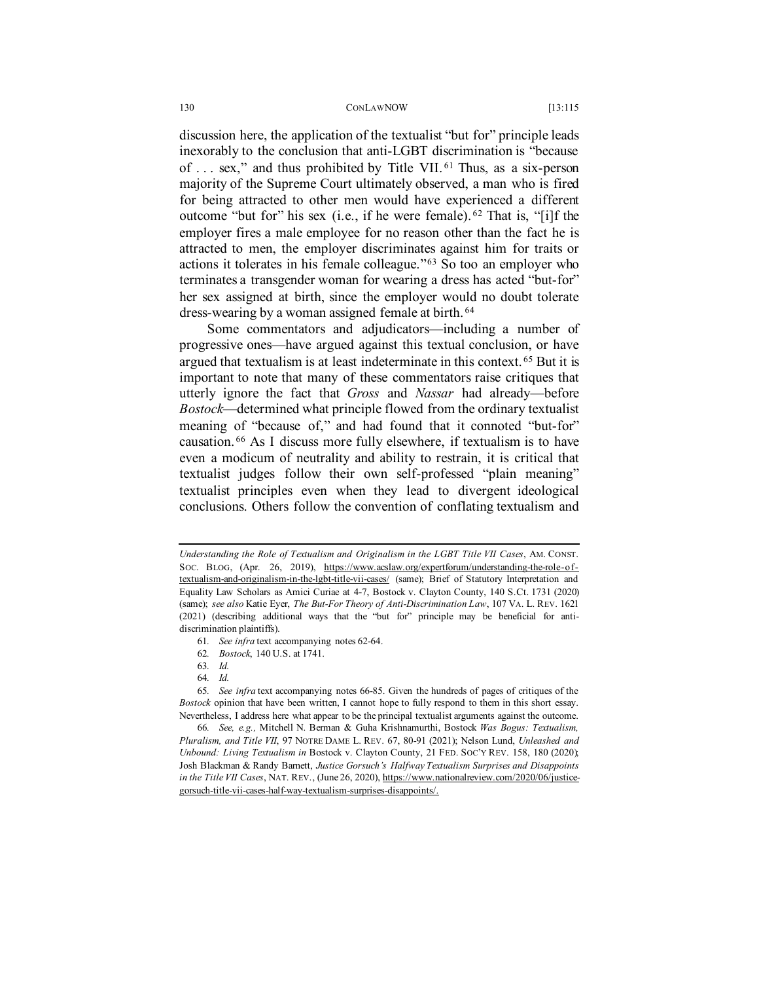<span id="page-15-0"></span>discussion here, the application of the textualist "but for" principle leads inexorably to the conclusion that anti-LGBT discrimination is "because of . . . sex," and thus prohibited by Title VII. [61](#page-15-3) Thus, as a six-person majority of the Supreme Court ultimately observed, a man who is fired for being attracted to other men would have experienced a different outcome "but for" his sex (i.e., if he were female). [62](#page-15-4) That is, "[i]f the employer fires a male employee for no reason other than the fact he is attracted to men, the employer discriminates against him for traits or actions it tolerates in his female colleague."[63](#page-15-5) So too an employer who terminates a transgender woman for wearing a dress has acted "but-for" her sex assigned at birth, since the employer would no doubt tolerate dress-wearing by a woman assigned female at birth. [64](#page-15-6)

<span id="page-15-9"></span><span id="page-15-2"></span><span id="page-15-1"></span>Some commentators and adjudicators—including a number of progressive ones—have argued against this textual conclusion, or have argued that textualism is at least indeterminate in this context. [65](#page-15-7) But it is important to note that many of these commentators raise critiques that utterly ignore the fact that *Gross* and *Nassar* had already—before *Bostock*—determined what principle flowed from the ordinary textualist meaning of "because of," and had found that it connoted "but-for" causation. [66](#page-15-8) As I discuss more fully elsewhere, if textualism is to have even a modicum of neutrality and ability to restrain, it is critical that textualist judges follow their own self-professed "plain meaning" textualist principles even when they lead to divergent ideological conclusions. Others follow the convention of conflating textualism and

*Understanding the Role of Textualism and Originalism in the LGBT Title VII Cases*, AM. CONST. SOC. BLOG, (Apr. 26, 2019), [https://www.acslaw.org/expertforum/understanding-the-role-of](https://www.acslaw.org/expertforum/understanding-the-role-of-textualism-and-originalism-in-the-lgbt-title-vii-cases/)[textualism-and-originalism-in-the-lgbt-title-vii-cases/](https://www.acslaw.org/expertforum/understanding-the-role-of-textualism-and-originalism-in-the-lgbt-title-vii-cases/) (same); Brief of Statutory Interpretation and Equality Law Scholars as Amici Curiae at 4-7, Bostock v. Clayton County, 140 S.Ct. 1731 (2020) (same); *see also* Katie Eyer, *The But-For Theory of Anti-Discrimination Law*, 107 VA. L. REV. 1621 (2021) (describing additional ways that the "but for" principle may be beneficial for antidiscrimination plaintiffs).

<sup>61</sup>*. See infra* text accompanying note[s 62-](#page-15-0)[64.](#page-15-1)

<sup>62</sup>*. Bostock*, 140 U.S. at 1741.

<sup>63</sup>*. Id.*

<sup>64</sup>*. Id.*

<span id="page-15-7"></span><span id="page-15-6"></span><span id="page-15-5"></span><span id="page-15-4"></span><span id="page-15-3"></span><sup>65</sup>*. See infra* text accompanying notes [66-](#page-15-2)[85.](#page-20-1) Given the hundreds of pages of critiques of the *Bostock* opinion that have been written, I cannot hope to fully respond to them in this short essay. Nevertheless, I address here what appear to be the principal textualist arguments against the outcome.

<span id="page-15-8"></span><sup>66</sup>*. See, e.g.,* Mitchell N. Berman & Guha Krishnamurthi, Bostock *Was Bogus: Textualism, Pluralism, and Title VII*, 97 NOTRE DAME L. REV. 67, 80-91 (2021); Nelson Lund, *Unleashed and Unbound: Living Textualism in* Bostock v. Clayton County, 21 FED. SOC'Y REV. 158, 180 (2020); Josh Blackman & Randy Barnett, *Justice Gorsuch's Halfway Textualism Surprises and Disappoints*  in the Title VII Cases, NAT. REV., (June 26, 2020)[, https://www.nationalreview.com/2020/06/justice](https://www.nationalreview.com/2020/06/justice-gorsuch-title-vii-cases-half-way-textualism-surprises-disappoints/#:%7E:text=Justice%20Gorsuch)[gorsuch-title-vii-cases-half-way-textualism-surprises-disappoints/.](https://www.nationalreview.com/2020/06/justice-gorsuch-title-vii-cases-half-way-textualism-surprises-disappoints/#:%7E:text=Justice%20Gorsuch)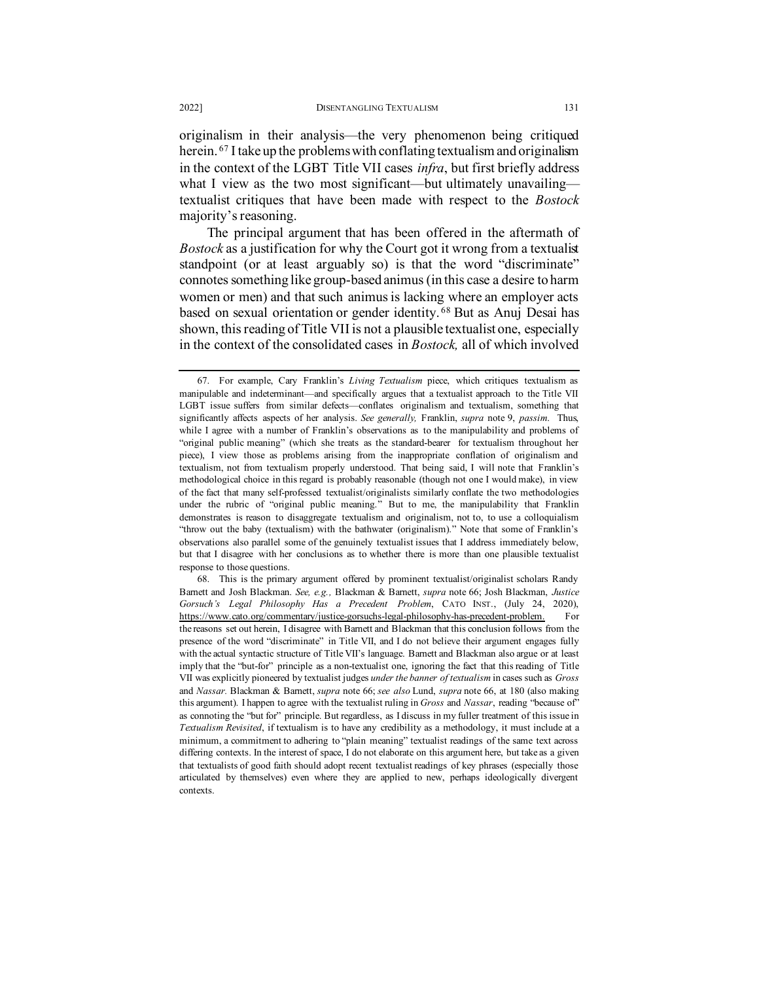originalism in their analysis—the very phenomenon being critiqued herein. [67](#page-16-0) I take up the problems with conflating textualism and originalism in the context of the LGBT Title VII cases *infra*, but first briefly address what I view as the two most significant—but ultimately unavailing textualist critiques that have been made with respect to the *Bostock* majority's reasoning.

The principal argument that has been offered in the aftermath of *Bostock* as a justification for why the Court got it wrong from a textualist standpoint (or at least arguably so) is that the word "discriminate" connotes something like group-based animus (in this case a desire to harm women or men) and that such animus is lacking where an employer acts based on sexual orientation or gender identity. [68](#page-16-1) But as Anuj Desai has shown, this reading of Title VII is not a plausible textualist one, especially in the context of the consolidated cases in *Bostock,* all of which involved

<span id="page-16-0"></span><sup>67.</sup> For example, Cary Franklin's *Living Textualism* piece, which critiques textualism as manipulable and indeterminant—and specifically argues that a textualist approach to the Title VII LGBT issue suffers from similar defects—conflates originalism and textualism, something that significantly affects aspects of her analysis. *See generally,* Franklin, *supra* note [9,](#page-2-2) *passim*. Thus, while I agree with a number of Franklin's observations as to the manipulability and problems of "original public meaning" (which she treats as the standard-bearer for textualism throughout her piece), I view those as problems arising from the inappropriate conflation of originalism and textualism, not from textualism properly understood. That being said, I will note that Franklin's methodological choice in this regard is probably reasonable (though not one I would make), in view of the fact that many self-professed textualist/originalists similarly conflate the two methodologies under the rubric of "original public meaning." But to me, the manipulability that Franklin demonstrates is reason to disaggregate textualism and originalism, not to, to use a colloquialism "throw out the baby (textualism) with the bathwater (originalism)." Note that some of Franklin's observations also parallel some of the genuinely textualist issues that I address immediately below, but that I disagree with her conclusions as to whether there is more than one plausible textualist response to those questions.

<span id="page-16-1"></span><sup>68.</sup> This is the primary argument offered by prominent textualist/originalist scholars Randy Barnett and Josh Blackman. *See, e.g.,* Blackman & Barnett, *supra* note 66; Josh Blackman, *Justice Gorsuch's Legal Philosophy Has a Precedent Problem*, CATO INST., (July 24, 2020), [https://www.cato.org/commentary/justice-gorsuchs-legal-philosophy-has-precedent-problem.](https://www.cato.org/commentary/justice-gorsuchs-legal-philosophy-has-precedent-problem) For the reasons set out herein, I disagree with Barnett and Blackman that this conclusion follows from the presence of the word "discriminate" in Title VII, and I do not believe their argument engages fully with the actual syntactic structure of Title VII's language. Barnett and Blackman also argue or at least imply that the "but-for" principle as a non-textualist one, ignoring the fact that this reading of Title VII was explicitly pioneered by textualist judges *under the banner of textualism* in cases such as *Gross*  and *Nassar.* Blackman & Barnett, *supra* note 66; *see also* Lund, *supra* note 66, at 180 (also making this argument). I happen to agree with the textualist ruling in *Gross* and *Nassar*, reading "because of" as connoting the "but for" principle. But regardless, as I discuss in my fuller treatment of this issue in *Textualism Revisited*, if textualism is to have any credibility as a methodology, it must include at a minimum, a commitment to adhering to "plain meaning" textualist readings of the same text across differing contexts. In the interest of space, I do not elaborate on this argument here, but take as a given that textualists of good faith should adopt recent textualist readings of key phrases (especially those articulated by themselves) even where they are applied to new, perhaps ideologically divergent contexts.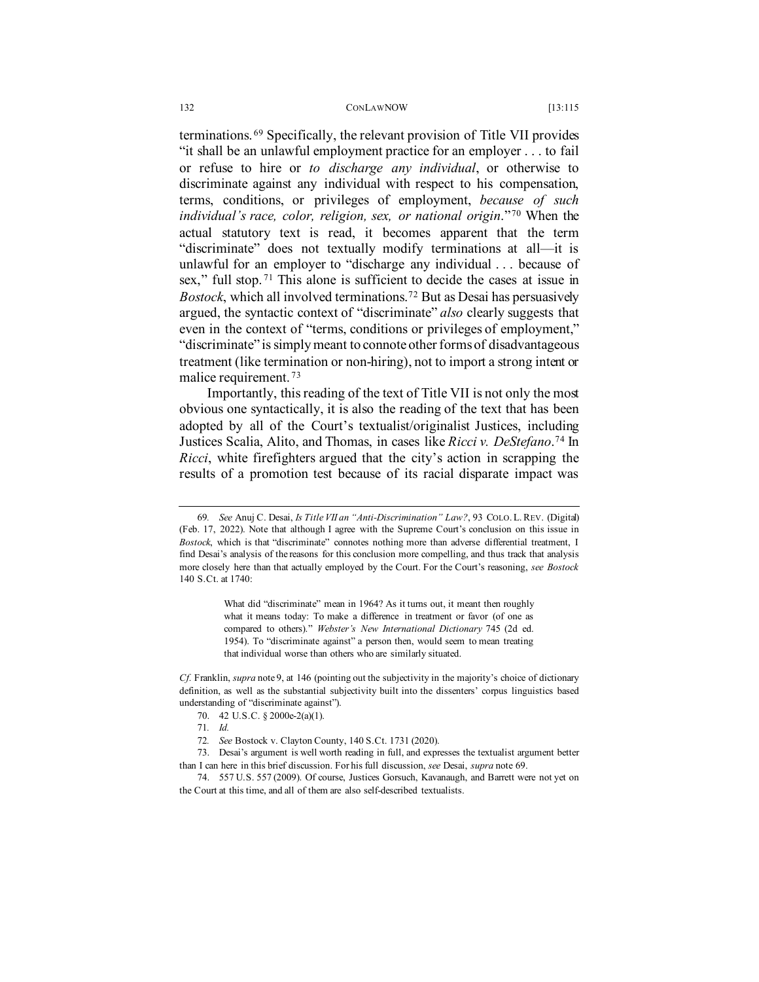terminations. [69](#page-17-0) Specifically, the relevant provision of Title VII provides "it shall be an unlawful employment practice for an employer . . . to fail or refuse to hire or *to discharge any individual*, or otherwise to discriminate against any individual with respect to his compensation, terms, conditions, or privileges of employment, *because of such individual's race, color, religion, sex, or national origin*."[70](#page-17-1) When the actual statutory text is read, it becomes apparent that the term "discriminate" does not textually modify terminations at all—it is unlawful for an employer to "discharge any individual . . . because of sex," full stop.<sup>[71](#page-17-2)</sup> This alone is sufficient to decide the cases at issue in *Bostock*, which all involved terminations.[72](#page-17-3) But as Desai has persuasively argued, the syntactic context of "discriminate" *also* clearly suggests that even in the context of "terms, conditions or privileges of employment," "discriminate" is simply meant to connote other forms of disadvantageous treatment (like termination or non-hiring), not to import a strong intent or malice requirement. [73](#page-17-4)

Importantly, this reading of the text of Title VII is not only the most obvious one syntactically, it is also the reading of the text that has been adopted by all of the Court's textualist/originalist Justices, including Justices Scalia, Alito, and Thomas, in cases like *Ricci v. DeStefano*. [74](#page-17-5) In *Ricci*, white firefighters argued that the city's action in scrapping the results of a promotion test because of its racial disparate impact was

What did "discriminate" mean in 1964? As it turns out, it meant then roughly what it means today: To make a difference in treatment or favor (of one as compared to others)." *Webster's New International Dictionary* 745 (2d ed. 1954). To "discriminate against" a person then, would seem to mean treating that individual worse than others who are similarly situated.

<span id="page-17-1"></span>*Cf.* Franklin, *supra* not[e 9,](#page-2-2) at 146 (pointing out the subjectivity in the majority's choice of dictionary definition, as well as the substantial subjectivity built into the dissenters' corpus linguistics based understanding of "discriminate against").

<span id="page-17-0"></span><sup>69</sup>*. See* Anuj C. Desai, *Is Title VII an "Anti-Discrimination" Law?*, 93 COLO.L.REV. (Digital) (Feb. 17, 2022). Note that although I agree with the Supreme Court's conclusion on this issue in *Bostock*, which is that "discriminate" connotes nothing more than adverse differential treatment, I find Desai's analysis of the reasons for this conclusion more compelling, and thus track that analysis more closely here than that actually employed by the Court. For the Court's reasoning, *see Bostock*  140 S.Ct. at 1740:

<sup>70.</sup> 42 U.S.C. § 2000e-2(a)(1).

<sup>71</sup>*. Id.*

<sup>72</sup>*. See* Bostock v. Clayton County, 140 S.Ct. 1731 (2020).

<span id="page-17-4"></span><span id="page-17-3"></span><span id="page-17-2"></span><sup>73.</sup> Desai's argument is well worth reading in full, and expresses the textualist argument better than I can here in this brief discussion. For his full discussion, *see* Desai, *supra* note 69.

<span id="page-17-5"></span><sup>74.</sup> 557 U.S. 557 (2009). Of course, Justices Gorsuch, Kavanaugh, and Barrett were not yet on the Court at this time, and all of them are also self-described textualists.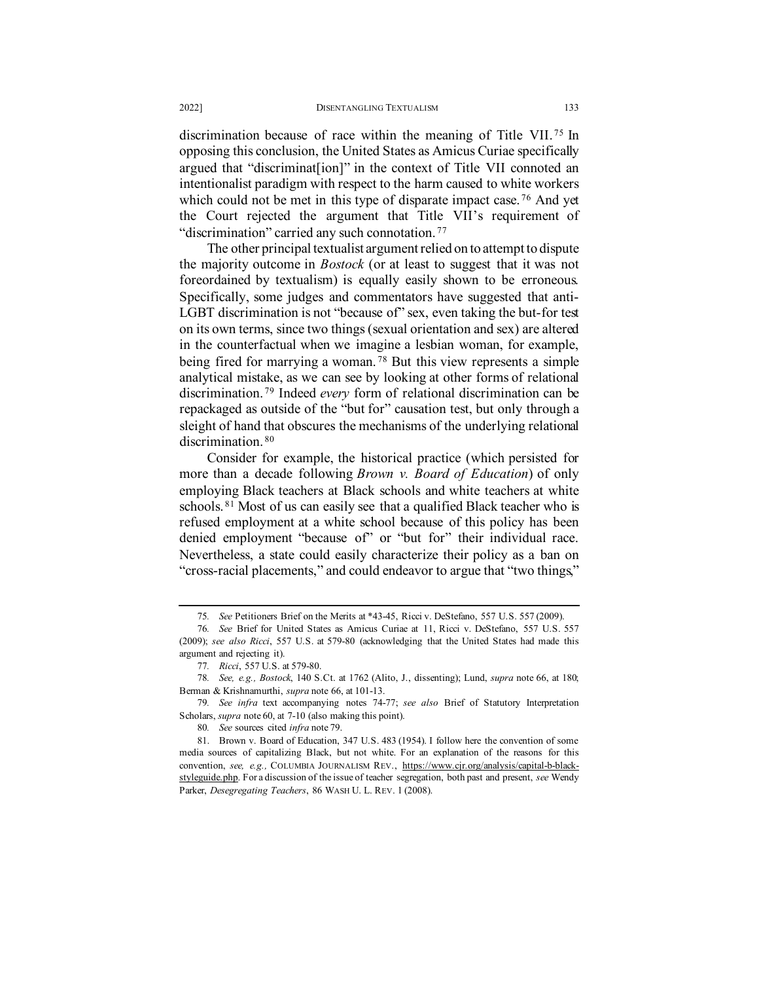discrimination because of race within the meaning of Title VII. [75](#page-18-1) In opposing this conclusion, the United States as Amicus Curiae specifically argued that "discriminat[ion]" in the context of Title VII connoted an intentionalist paradigm with respect to the harm caused to white workers which could not be met in this type of disparate impact case.<sup>[76](#page-18-2)</sup> And yet the Court rejected the argument that Title VII's requirement of "discrimination" carried any such connotation.<sup>77</sup>

The other principal textualist argument relied on to attempt to dispute the majority outcome in *Bostock* (or at least to suggest that it was not foreordained by textualism) is equally easily shown to be erroneous. Specifically, some judges and commentators have suggested that anti-LGBT discrimination is not "because of" sex, even taking the but-for test on its own terms, since two things (sexual orientation and sex) are altered in the counterfactual when we imagine a lesbian woman, for example, being fired for marrying a woman.<sup>[78](#page-18-4)</sup> But this view represents a simple analytical mistake, as we can see by looking at other forms of relational discrimination. [79](#page-18-5) Indeed *every* form of relational discrimination can be repackaged as outside of the "but for" causation test, but only through a sleight of hand that obscures the mechanisms of the underlying relational discrimination.<sup>[80](#page-18-6)</sup>

<span id="page-18-0"></span>Consider for example, the historical practice (which persisted for more than a decade following *Brown v. Board of Education*) of only employing Black teachers at Black schools and white teachers at white schools.<sup>[81](#page-18-7)</sup> Most of us can easily see that a qualified Black teacher who is refused employment at a white school because of this policy has been denied employment "because of" or "but for" their individual race. Nevertheless, a state could easily characterize their policy as a ban on "cross-racial placements," and could endeavor to argue that "two things,"

<sup>75</sup>*. See* Petitioners Brief on the Merits at \*43-45, Ricci v. DeStefano, 557 U.S. 557 (2009).

<span id="page-18-2"></span><span id="page-18-1"></span><sup>76</sup>*. See* Brief for United States as Amicus Curiae at 11, Ricci v. DeStefano, 557 U.S. 557 (2009); *see also Ricci*, 557 U.S. at 579-80 (acknowledging that the United States had made this argument and rejecting it).

<sup>77</sup>*. Ricci*, 557 U.S. at 579-80.

<span id="page-18-4"></span><span id="page-18-3"></span><sup>78</sup>*. See, e.g., Bostock*, 140 S.Ct. at 1762 (Alito, J., dissenting); Lund, *supra* note 66, at 180; Berman & Krishnamurthi, *supra* note 66, at 101-13.

<span id="page-18-5"></span><sup>79</sup>*. See infra* text accompanying notes 74-77; *see also* Brief of Statutory Interpretation Scholars, *supra* note 60, at 7-10 (also making this point).

<sup>80</sup>*. See* sources cited *infra* not[e 79.](#page-18-0)

<span id="page-18-7"></span><span id="page-18-6"></span><sup>81.</sup> Brown v. Board of Education, 347 U.S. 483 (1954). I follow here the convention of some media sources of capitalizing Black, but not white. For an explanation of the reasons for this convention, *see, e.g.,* COLUMBIA JOURNALISM REV., [https://www.cjr.org/analysis/capital-b-black](https://www.cjr.org/analysis/capital-b-black-styleguide.php)[styleguide.php.](https://www.cjr.org/analysis/capital-b-black-styleguide.php) For a discussion of the issue of teacher segregation, both past and present, *see* Wendy Parker, *Desegregating Teachers*, 86 WASH U. L. REV. 1 (2008).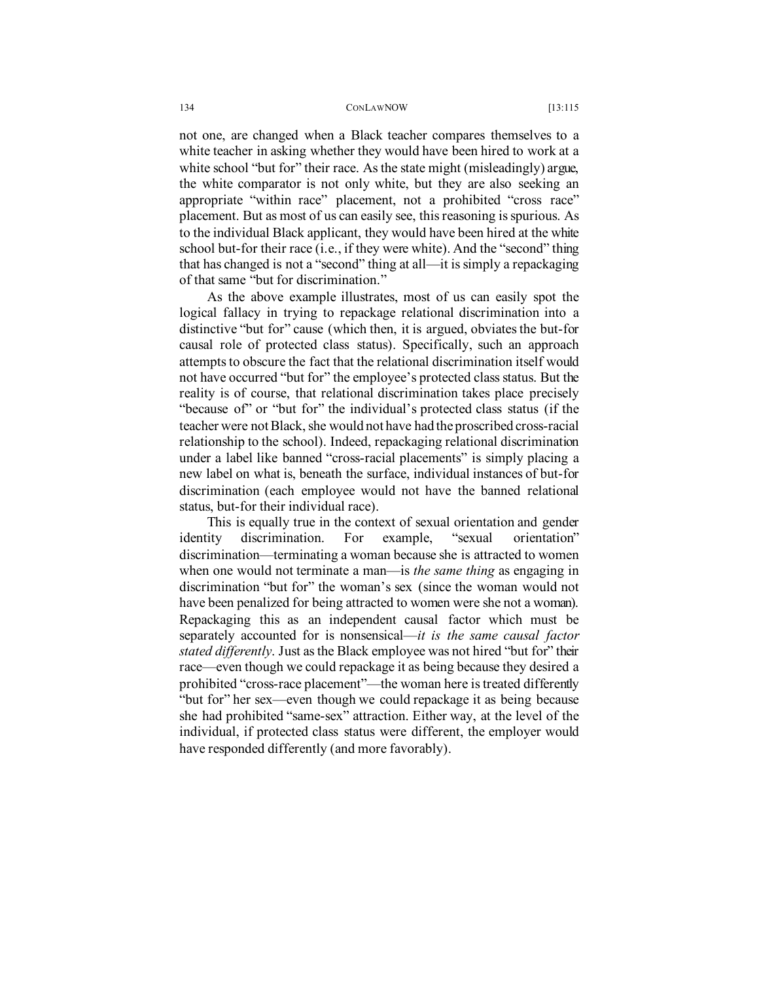not one, are changed when a Black teacher compares themselves to a white teacher in asking whether they would have been hired to work at a white school "but for" their race. As the state might (misleadingly) argue, the white comparator is not only white, but they are also seeking an appropriate "within race" placement, not a prohibited "cross race" placement. But as most of us can easily see, this reasoning is spurious. As to the individual Black applicant, they would have been hired at the white school but-for their race (i.e., if they were white). And the "second" thing that has changed is not a "second" thing at all—it is simply a repackaging of that same "but for discrimination."

As the above example illustrates, most of us can easily spot the logical fallacy in trying to repackage relational discrimination into a distinctive "but for" cause (which then, it is argued, obviates the but-for causal role of protected class status). Specifically, such an approach attempts to obscure the fact that the relational discrimination itself would not have occurred "but for" the employee's protected class status. But the reality is of course, that relational discrimination takes place precisely "because of" or "but for" the individual's protected class status (if the teacher were not Black, she would not have had the proscribed cross-racial relationship to the school). Indeed, repackaging relational discrimination under a label like banned "cross-racial placements" is simply placing a new label on what is, beneath the surface, individual instances of but-for discrimination (each employee would not have the banned relational status, but-for their individual race).

This is equally true in the context of sexual orientation and gender identity discrimination. For example, "sexual orientation" discrimination—terminating a woman because she is attracted to women when one would not terminate a man—is *the same thing* as engaging in discrimination "but for" the woman's sex (since the woman would not have been penalized for being attracted to women were she not a woman). Repackaging this as an independent causal factor which must be separately accounted for is nonsensical—*it is the same causal factor stated differently*. Just as the Black employee was not hired "but for" their race—even though we could repackage it as being because they desired a prohibited "cross-race placement"—the woman here is treated differently "but for" her sex—even though we could repackage it as being because she had prohibited "same-sex" attraction. Either way, at the level of the individual, if protected class status were different, the employer would have responded differently (and more favorably).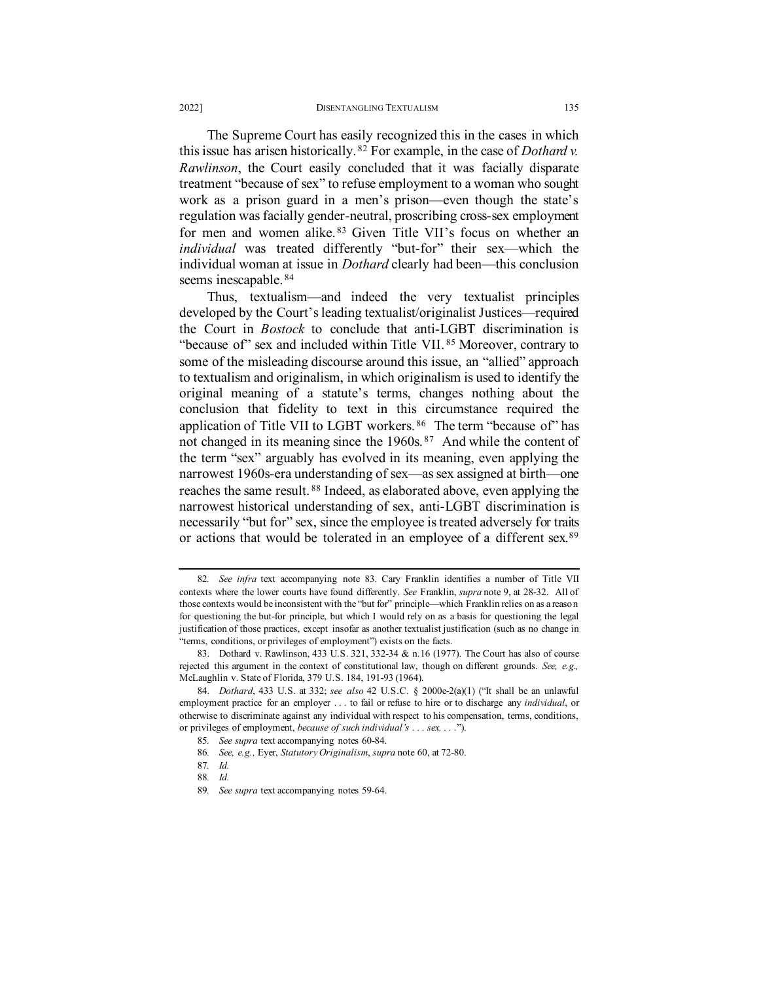<span id="page-20-0"></span>The Supreme Court has easily recognized this in the cases in which this issue has arisen historically. [82](#page-20-3) For example, in the case of *Dothard v. Rawlinson*, the Court easily concluded that it was facially disparate treatment "because of sex" to refuse employment to a woman who sought work as a prison guard in a men's prison—even though the state's regulation was facially gender-neutral, proscribing cross-sex employment for men and women alike. [83](#page-20-4) Given Title VII's focus on whether an *individual* was treated differently "but-for" their sex—which the individual woman at issue in *Dothard* clearly had been—this conclusion seems inescapable. [84](#page-20-5)

<span id="page-20-11"></span><span id="page-20-2"></span><span id="page-20-1"></span>Thus, textualism—and indeed the very textualist principles developed by the Court's leading textualist/originalist Justices—required the Court in *Bostock* to conclude that anti-LGBT discrimination is "because of" sex and included within Title VII. [85](#page-20-6) Moreover, contrary to some of the misleading discourse around this issue, an "allied" approach to textualism and originalism, in which originalism is used to identify the original meaning of a statute's terms, changes nothing about the conclusion that fidelity to text in this circumstance required the application of Title VII to LGBT workers. [86](#page-20-7) The term "because of" has not changed in its meaning since the 1960s.<sup>[87](#page-20-8)</sup> And while the content of the term "sex" arguably has evolved in its meaning, even applying the narrowest 1960s-era understanding of sex—as sex assigned at birth—one reaches the same result. [88](#page-20-9) Indeed, as elaborated above, even applying the narrowest historical understanding of sex, anti-LGBT discrimination is necessarily "but for" sex, since the employee is treated adversely for traits or actions that would be tolerated in an employee of a different sex.<sup>[89](#page-20-10)</sup>

<span id="page-20-3"></span><sup>82</sup>*. See infra* text accompanying note [83.](#page-20-2) Cary Franklin identifies a number of Title VII contexts where the lower courts have found differently. *See* Franklin, *supra* not[e 9,](#page-2-2) at 28-32. All of those contexts would be inconsistent with the "but for" principle—which Franklin relies on as a reason for questioning the but-for principle, but which I would rely on as a basis for questioning the legal justification of those practices, except insofar as another textualist justification (such as no change in "terms, conditions, or privileges of employment") exists on the facts.

<span id="page-20-4"></span><sup>83.</sup> Dothard v. Rawlinson, 433 U.S. 321, 332-34 & n.16 (1977). The Court has also of course rejected this argument in the context of constitutional law, though on different grounds. *See, e.g.,*  McLaughlin v. State of Florida, 379 U.S. 184, 191-93 (1964).

<span id="page-20-8"></span><span id="page-20-7"></span><span id="page-20-6"></span><span id="page-20-5"></span><sup>84.</sup> *Dothard*, 433 U.S. at 332; *see also* 42 U.S.C. § 2000e-2(a)(1) ("It shall be an unlawful employment practice for an employer . . . to fail or refuse to hire or to discharge any *individual*, or otherwise to discriminate against any individual with respect to his compensation, terms, conditions, or privileges of employment, *because of such individual's . . . sex. . .* .").

<sup>85</sup>*. See supra* text accompanying notes [60-](#page-14-7)84.

<sup>86</sup>*. See, e.g.,* Eyer, *Statutory Originalism*, *supra* note 60, at 72-80.

<span id="page-20-9"></span><sup>87</sup>*. Id.*

<sup>88</sup>*. Id.*

<span id="page-20-10"></span><sup>89</sup>*. See supra* text accompanying notes [59](#page-14-8)[-64.](#page-15-1)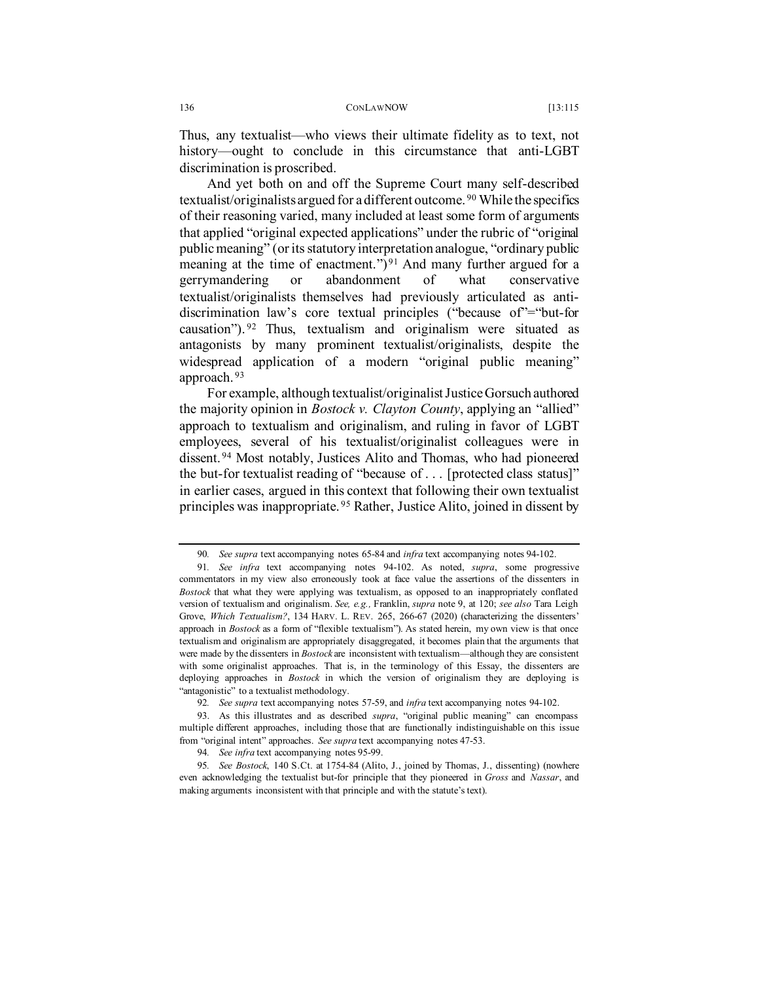Thus, any textualist—who views their ultimate fidelity as to text, not history—ought to conclude in this circumstance that anti-LGBT discrimination is proscribed.

And yet both on and off the Supreme Court many self-described textualist/originalists argued for a different outcome. [90](#page-21-2) While the specifics of their reasoning varied, many included at least some form of arguments that applied "original expected applications" under the rubric of "original public meaning" (or its statutory interpretation analogue, "ordinary public meaning at the time of enactment.")<sup>[91](#page-21-3)</sup> And many further argued for a gerrymandering or abandonment of what conservative textualist/originalists themselves had previously articulated as antidiscrimination law's core textual principles ("because of"="but-for causation"). [92](#page-21-4) Thus, textualism and originalism were situated as antagonists by many prominent textualist/originalists, despite the widespread application of a modern "original public meaning" approach. [93](#page-21-5)

<span id="page-21-0"></span>For example, although textualist/originalist Justice Gorsuch authored the majority opinion in *Bostock v. Clayton County*, applying an "allied" approach to textualism and originalism, and ruling in favor of LGBT employees, several of his textualist/originalist colleagues were in dissent. [94](#page-21-6) Most notably, Justices Alito and Thomas, who had pioneered the but-for textualist reading of "because of . . . [protected class status]" in earlier cases, argued in this context that following their own textualist principles was inappropriate. [95](#page-21-7) Rather, Justice Alito, joined in dissent by

<span id="page-21-1"></span><sup>90</sup>*. See supra* text accompanying notes [65](#page-15-9)[-84](#page-20-11) and *infra* text accompanying note[s 94-](#page-21-0)[102.](#page-23-0)

<span id="page-21-3"></span><span id="page-21-2"></span><sup>91</sup>*. See infra* text accompanying notes [94-](#page-21-0)[102.](#page-23-0) As noted, *supra*, some progressive commentators in my view also erroneously took at face value the assertions of the dissenters in *Bostock* that what they were applying was textualism, as opposed to an inappropriately conflated version of textualism and originalism. *See, e.g.,* Franklin, *supra* note [9,](#page-2-2) at 120; *see also* Tara Leigh Grove, Which Textualism?, 134 HARV. L. REV. 265, 266-67 (2020) (characterizing the dissenters' approach in *Bostock* as a form of "flexible textualism"). As stated herein, my own view is that once textualism and originalism are appropriately disaggregated, it becomes plain that the arguments that were made by the dissenters in *Bostock* are inconsistent with textualism—although they are consistent with some originalist approaches. That is, in the terminology of this Essay, the dissenters are deploying approaches in *Bostock* in which the version of originalism they are deploying is "antagonistic" to a textualist methodology.

<sup>92</sup>*. See supra* text accompanying notes [57](#page-14-0)[-59,](#page-14-8) and *infra* text accompanying notes [94](#page-21-0)[-102.](#page-23-0)

<span id="page-21-5"></span><span id="page-21-4"></span><sup>93.</sup> As this illustrates and as described *supra*, "original public meaning" can encompass multiple different approaches, including those that are functionally indistinguishable on this issue from "original intent" approaches. *See supra* text accompanying notes 47-53.

<sup>94</sup>*. See infra* text accompanying note[s 95-](#page-21-1)[99.](#page-22-1)

<span id="page-21-7"></span><span id="page-21-6"></span><sup>95</sup>*. See Bostock*, 140 S.Ct. at 1754-84 (Alito, J., joined by Thomas, J., dissenting) (nowhere even acknowledging the textualist but-for principle that they pioneered in *Gross* and *Nassar*, and making arguments inconsistent with that principle and with the statute's text).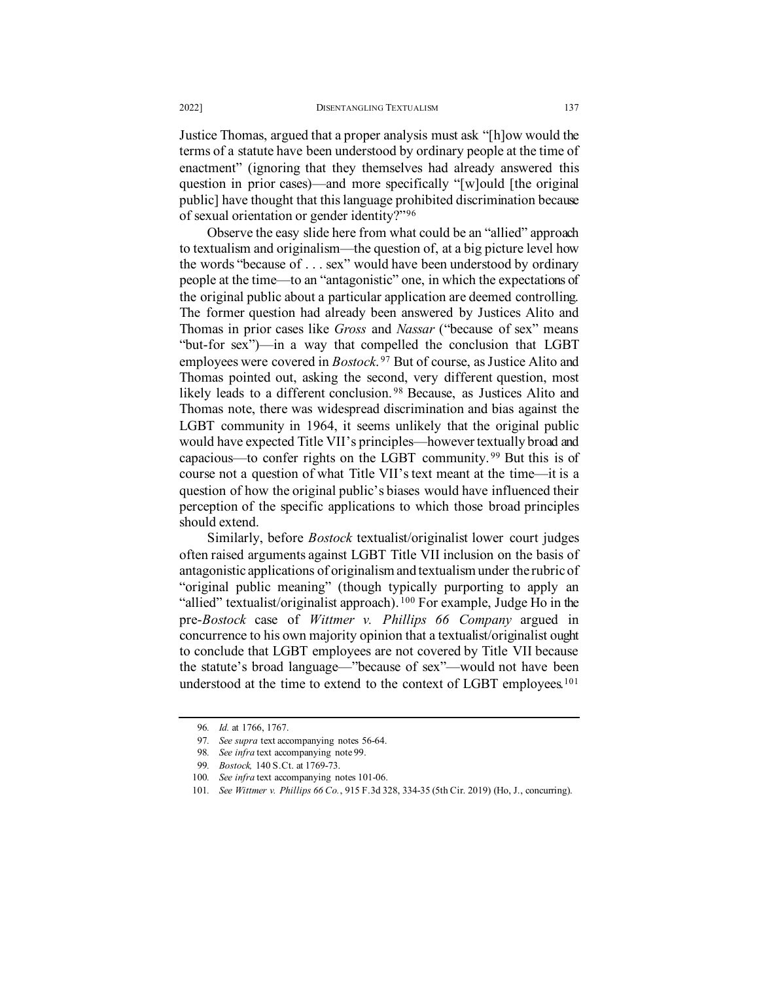Justice Thomas, argued that a proper analysis must ask "[h]ow would the terms of a statute have been understood by ordinary people at the time of enactment" (ignoring that they themselves had already answered this question in prior cases)—and more specifically "[w]ould [the original public] have thought that this language prohibited discrimination because of sexual orientation or gender identity?"[96](#page-22-2)

Observe the easy slide here from what could be an "allied" approach to textualism and originalism—the question of, at a big picture level how the words "because of . . . sex" would have been understood by ordinary people at the time—to an "antagonistic" one, in which the expectations of the original public about a particular application are deemed controlling. The former question had already been answered by Justices Alito and Thomas in prior cases like *Gross* and *Nassar* ("because of sex" means "but-for sex")—in a way that compelled the conclusion that LGBT employees were covered in *Bostock*. [97](#page-22-3) But of course, as Justice Alito and Thomas pointed out, asking the second, very different question, most likely leads to a different conclusion. [98](#page-22-4) Because, as Justices Alito and Thomas note, there was widespread discrimination and bias against the LGBT community in 1964, it seems unlikely that the original public would have expected Title VII's principles—however textually broad and capacious—to confer rights on the LGBT community. [99](#page-22-5) But this is of course not a question of what Title VII's text meant at the time—it is a question of how the original public's biases would have influenced their perception of the specific applications to which those broad principles should extend.

<span id="page-22-1"></span>Similarly, before *Bostock* textualist/originalist lower court judges often raised arguments against LGBT Title VII inclusion on the basis of antagonistic applications of originalism and textualism under the rubric of "original public meaning" (though typically purporting to apply an "allied" textualist/originalist approach). <sup>[100](#page-22-6)</sup> For example, Judge Ho in the pre-*Bostock* case of *Wittmer v. Phillips 66 Company* argued in concurrence to his own majority opinion that a textualist/originalist ought to conclude that LGBT employees are not covered by Title VII because the statute's broad language—"because of sex"—would not have been understood at the time to extend to the context of LGBT employees.<sup>[101](#page-22-7)</sup>

<span id="page-22-3"></span><span id="page-22-2"></span><span id="page-22-0"></span><sup>96</sup>*. Id.* at 1766, 1767.

<sup>97</sup>*. See supra* text accompanying notes [56](#page-14-9)[-64.](#page-15-1)

<sup>98</sup>*. See infra* text accompanying not[e 99.](#page-22-1)

<sup>99</sup>*. Bostock,* 140 S.Ct. at 1769-73.

<span id="page-22-5"></span><span id="page-22-4"></span><sup>100</sup>*. See infra* text accompanying note[s 101-](#page-22-0)06.

<span id="page-22-7"></span><span id="page-22-6"></span><sup>101</sup>*. See Wittmer v. Phillips 66 Co.*, 915 F.3d 328, 334-35 (5th Cir. 2019) (Ho, J., concurring).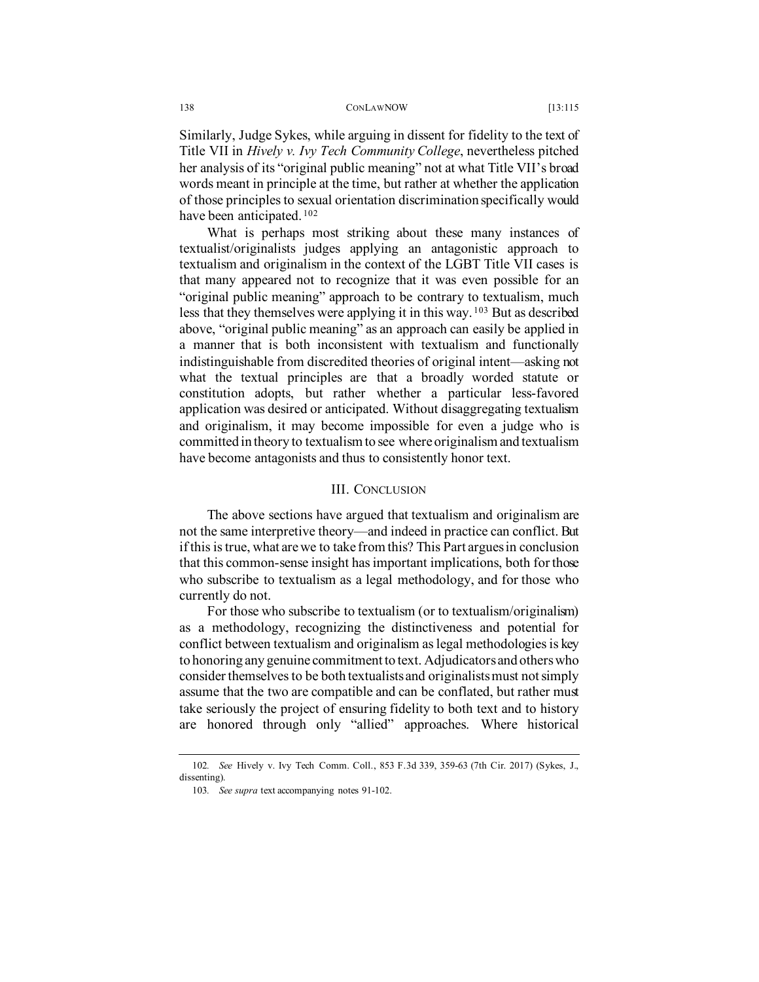Similarly, Judge Sykes, while arguing in dissent for fidelity to the text of Title VII in *Hively v. Ivy Tech Community College*, nevertheless pitched her analysis of its "original public meaning" not at what Title VII's broad words meant in principle at the time, but rather at whether the application of those principles to sexual orientation discrimination specifically would have been anticipated. <sup>[102](#page-23-1)</sup>

<span id="page-23-0"></span>What is perhaps most striking about these many instances of textualist/originalists judges applying an antagonistic approach to textualism and originalism in the context of the LGBT Title VII cases is that many appeared not to recognize that it was even possible for an "original public meaning" approach to be contrary to textualism, much less that they themselves were applying it in this way. [103](#page-23-2) But as described above, "original public meaning" as an approach can easily be applied in a manner that is both inconsistent with textualism and functionally indistinguishable from discredited theories of original intent—asking not what the textual principles are that a broadly worded statute or constitution adopts, but rather whether a particular less-favored application was desired or anticipated. Without disaggregating textualism and originalism, it may become impossible for even a judge who is committed in theory to textualism to see where originalism and textualism have become antagonists and thus to consistently honor text.

## III. CONCLUSION

The above sections have argued that textualism and originalism are not the same interpretive theory—and indeed in practice can conflict. But if this is true, what are we to take from this? This Part argues in conclusion that this common-sense insight has important implications, both for those who subscribe to textualism as a legal methodology, and for those who currently do not.

For those who subscribe to textualism (or to textualism/originalism) as a methodology, recognizing the distinctiveness and potential for conflict between textualism and originalism as legal methodologies is key to honoring any genuine commitment to text. Adjudicators and others who consider themselves to be both textualists and originalists must not simply assume that the two are compatible and can be conflated, but rather must take seriously the project of ensuring fidelity to both text and to history are honored through only "allied" approaches. Where historical

<span id="page-23-2"></span><span id="page-23-1"></span><sup>102</sup>*. See* Hively v. Ivy Tech Comm. Coll., 853 F.3d 339, 359-63 (7th Cir. 2017) (Sykes, J., dissenting).

<sup>103</sup>*. See supra* text accompanying notes 91-102.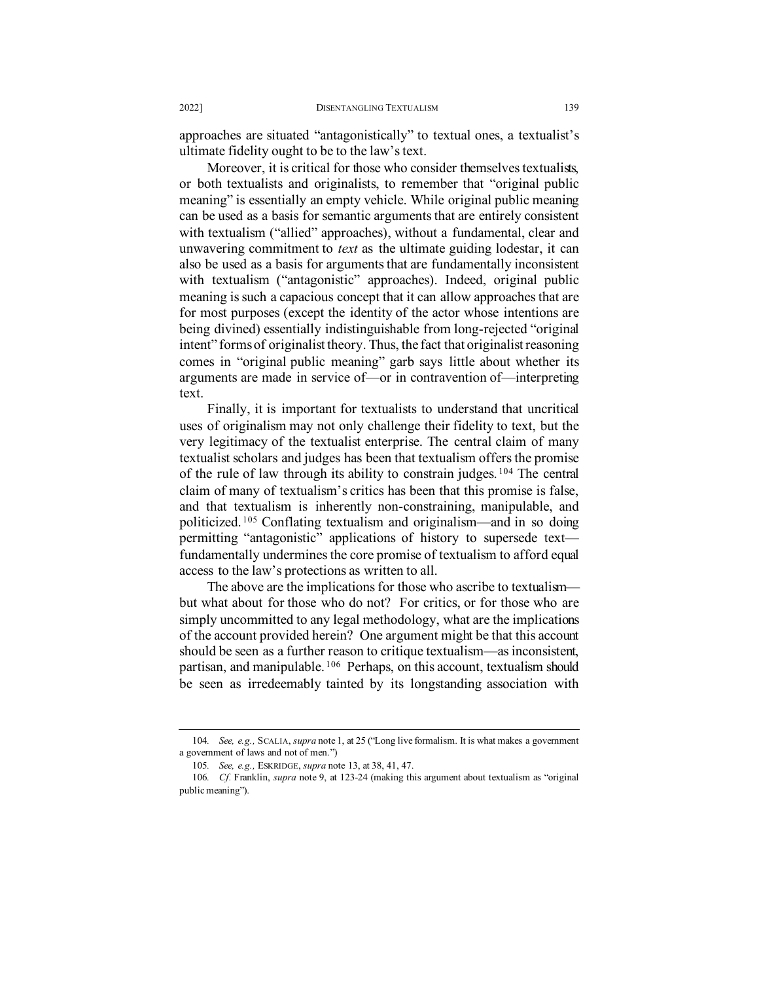approaches are situated "antagonistically" to textual ones, a textualist's ultimate fidelity ought to be to the law's text.

Moreover, it is critical for those who consider themselves textualists, or both textualists and originalists, to remember that "original public meaning" is essentially an empty vehicle. While original public meaning can be used as a basis for semantic arguments that are entirely consistent with textualism ("allied" approaches), without a fundamental, clear and unwavering commitment to *text* as the ultimate guiding lodestar, it can also be used as a basis for arguments that are fundamentally inconsistent with textualism ("antagonistic" approaches). Indeed, original public meaning is such a capacious concept that it can allow approaches that are for most purposes (except the identity of the actor whose intentions are being divined) essentially indistinguishable from long-rejected "original intent" forms of originalist theory. Thus, the fact that originalist reasoning comes in "original public meaning" garb says little about whether its arguments are made in service of—or in contravention of—interpreting text.

Finally, it is important for textualists to understand that uncritical uses of originalism may not only challenge their fidelity to text, but the very legitimacy of the textualist enterprise. The central claim of many textualist scholars and judges has been that textualism offers the promise of the rule of law through its ability to constrain judges. [104](#page-24-0) The central claim of many of textualism's critics has been that this promise is false, and that textualism is inherently non-constraining, manipulable, and politicized. [105](#page-24-1) Conflating textualism and originalism—and in so doing permitting "antagonistic" applications of history to supersede text fundamentally undermines the core promise of textualism to afford equal access to the law's protections as written to all.

The above are the implications for those who ascribe to textualism but what about for those who do not? For critics, or for those who are simply uncommitted to any legal methodology, what are the implications of the account provided herein? One argument might be that this account should be seen as a further reason to critique textualism—as inconsistent, partisan, and manipulable. [106](#page-24-2) Perhaps, on this account, textualism should be seen as irredeemably tainted by its longstanding association with

<span id="page-24-0"></span><sup>104</sup>*. See, e.g.,* SCALIA, *supra* note 1, at 25 ("Long live formalism. It is what makes a government a government of laws and not of men.")

<sup>105</sup>*. See, e.g.,* ESKRIDGE, *supra* note 13, at 38, 41, 47.

<span id="page-24-2"></span><span id="page-24-1"></span><sup>106</sup>*. Cf.* Franklin, *supra* note 9, at 123-24 (making this argument about textualism as "original public meaning").